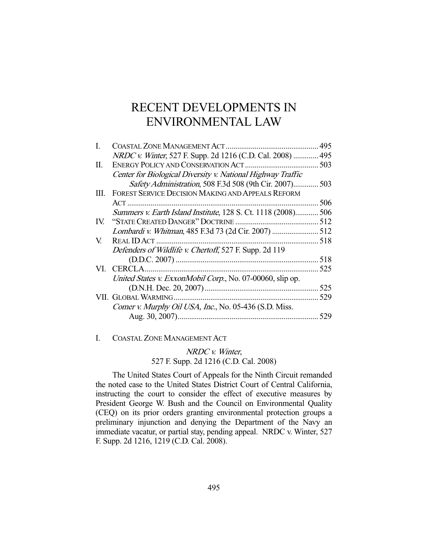# RECENT DEVELOPMENTS IN ENVIRONMENTAL LAW

|                                                             | 495                                                                                                                                                                                                                                                                                           |
|-------------------------------------------------------------|-----------------------------------------------------------------------------------------------------------------------------------------------------------------------------------------------------------------------------------------------------------------------------------------------|
|                                                             | 495                                                                                                                                                                                                                                                                                           |
|                                                             | 503                                                                                                                                                                                                                                                                                           |
| Center for Biological Diversity v. National Highway Traffic |                                                                                                                                                                                                                                                                                               |
|                                                             |                                                                                                                                                                                                                                                                                               |
| FOREST SERVICE DECISION MAKING AND APPEALS REFORM           |                                                                                                                                                                                                                                                                                               |
|                                                             | 506                                                                                                                                                                                                                                                                                           |
|                                                             | 506                                                                                                                                                                                                                                                                                           |
| "STATE CREATED DANGER" DOCTRINE                             | 512                                                                                                                                                                                                                                                                                           |
|                                                             | 512                                                                                                                                                                                                                                                                                           |
| REAL ID ACT                                                 | 518                                                                                                                                                                                                                                                                                           |
| Defenders of Wildlife v. Chertoff, 527 F. Supp. 2d 119      |                                                                                                                                                                                                                                                                                               |
|                                                             | 518                                                                                                                                                                                                                                                                                           |
|                                                             | 525                                                                                                                                                                                                                                                                                           |
|                                                             |                                                                                                                                                                                                                                                                                               |
|                                                             | 525                                                                                                                                                                                                                                                                                           |
| VII. GLOBAL WARMING                                         | 529                                                                                                                                                                                                                                                                                           |
| Comer v. Murphy Oil USA, Inc., No. 05-436 (S.D. Miss.       |                                                                                                                                                                                                                                                                                               |
|                                                             | 529                                                                                                                                                                                                                                                                                           |
|                                                             | NRDC v. Winter, 527 F. Supp. 2d 1216 (C.D. Cal. 2008)<br>Safety Administration, 508 F.3d 508 (9th Cir. 2007) 503<br>Summers v. Earth Island Institute, 128 S. Ct. 1118 (2008)<br>Lombardi v. Whitman, 485 F.3d 73 (2d Cir. 2007)<br>United States v. ExxonMobil Corp., No. 07-00060, slip op. |

# I. COASTAL ZONE MANAGEMENT ACT

NRDC v. Winter, 527 F. Supp. 2d 1216 (C.D. Cal. 2008)

 The United States Court of Appeals for the Ninth Circuit remanded the noted case to the United States District Court of Central California, instructing the court to consider the effect of executive measures by President George W. Bush and the Council on Environmental Quality (CEQ) on its prior orders granting environmental protection groups a preliminary injunction and denying the Department of the Navy an immediate vacatur, or partial stay, pending appeal. NRDC v. Winter, 527 F. Supp. 2d 1216, 1219 (C.D. Cal. 2008).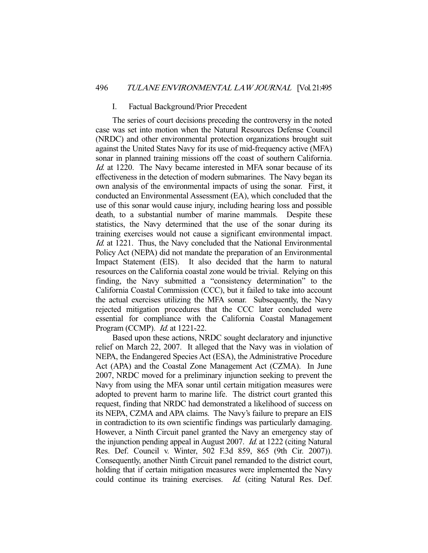#### I. Factual Background/Prior Precedent

 The series of court decisions preceding the controversy in the noted case was set into motion when the Natural Resources Defense Council (NRDC) and other environmental protection organizations brought suit against the United States Navy for its use of mid-frequency active (MFA) sonar in planned training missions off the coast of southern California. Id. at 1220. The Navy became interested in MFA sonar because of its effectiveness in the detection of modern submarines. The Navy began its own analysis of the environmental impacts of using the sonar. First, it conducted an Environmental Assessment (EA), which concluded that the use of this sonar would cause injury, including hearing loss and possible death, to a substantial number of marine mammals. Despite these statistics, the Navy determined that the use of the sonar during its training exercises would not cause a significant environmental impact. Id. at 1221. Thus, the Navy concluded that the National Environmental Policy Act (NEPA) did not mandate the preparation of an Environmental Impact Statement (EIS). It also decided that the harm to natural resources on the California coastal zone would be trivial. Relying on this finding, the Navy submitted a "consistency determination" to the California Coastal Commission (CCC), but it failed to take into account the actual exercises utilizing the MFA sonar. Subsequently, the Navy rejected mitigation procedures that the CCC later concluded were essential for compliance with the California Coastal Management Program (CCMP). Id. at 1221-22.

 Based upon these actions, NRDC sought declaratory and injunctive relief on March 22, 2007. It alleged that the Navy was in violation of NEPA, the Endangered Species Act (ESA), the Administrative Procedure Act (APA) and the Coastal Zone Management Act (CZMA). In June 2007, NRDC moved for a preliminary injunction seeking to prevent the Navy from using the MFA sonar until certain mitigation measures were adopted to prevent harm to marine life. The district court granted this request, finding that NRDC had demonstrated a likelihood of success on its NEPA, CZMA and APA claims. The Navy's failure to prepare an EIS in contradiction to its own scientific findings was particularly damaging. However, a Ninth Circuit panel granted the Navy an emergency stay of the injunction pending appeal in August 2007. Id. at 1222 (citing Natural Res. Def. Council v. Winter, 502 F.3d 859, 865 (9th Cir. 2007)). Consequently, another Ninth Circuit panel remanded to the district court, holding that if certain mitigation measures were implemented the Navy could continue its training exercises. Id. (citing Natural Res. Def.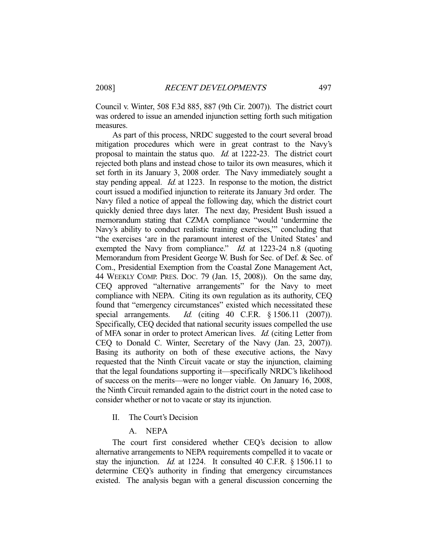Council v. Winter, 508 F.3d 885, 887 (9th Cir. 2007)). The district court was ordered to issue an amended injunction setting forth such mitigation measures.

 As part of this process, NRDC suggested to the court several broad mitigation procedures which were in great contrast to the Navy's proposal to maintain the status quo. Id. at 1222-23. The district court rejected both plans and instead chose to tailor its own measures, which it set forth in its January 3, 2008 order. The Navy immediately sought a stay pending appeal. Id. at 1223. In response to the motion, the district court issued a modified injunction to reiterate its January 3rd order. The Navy filed a notice of appeal the following day, which the district court quickly denied three days later. The next day, President Bush issued a memorandum stating that CZMA compliance "would 'undermine the Navy's ability to conduct realistic training exercises,'" concluding that "the exercises 'are in the paramount interest of the United States' and exempted the Navy from compliance."  $Id$  at 1223-24 n.8 (quoting Memorandum from President George W. Bush for Sec. of Def. & Sec. of Com., Presidential Exemption from the Coastal Zone Management Act, 44 WEEKLY COMP. PRES. DOC. 79 (Jan. 15, 2008)). On the same day, CEQ approved "alternative arrangements" for the Navy to meet compliance with NEPA. Citing its own regulation as its authority, CEQ found that "emergency circumstances" existed which necessitated these special arrangements. *Id.* (citing 40 C.F.R. § 1506.11 (2007)). Specifically, CEQ decided that national security issues compelled the use of MFA sonar in order to protect American lives. Id. (citing Letter from CEQ to Donald C. Winter, Secretary of the Navy (Jan. 23, 2007)). Basing its authority on both of these executive actions, the Navy requested that the Ninth Circuit vacate or stay the injunction, claiming that the legal foundations supporting it—specifically NRDC's likelihood of success on the merits—were no longer viable. On January 16, 2008, the Ninth Circuit remanded again to the district court in the noted case to consider whether or not to vacate or stay its injunction.

- II. The Court's Decision
	- A. NEPA

 The court first considered whether CEQ's decision to allow alternative arrangements to NEPA requirements compelled it to vacate or stay the injunction. *Id.* at 1224. It consulted 40 C.F.R.  $\&$  1506.11 to determine CEQ's authority in finding that emergency circumstances existed. The analysis began with a general discussion concerning the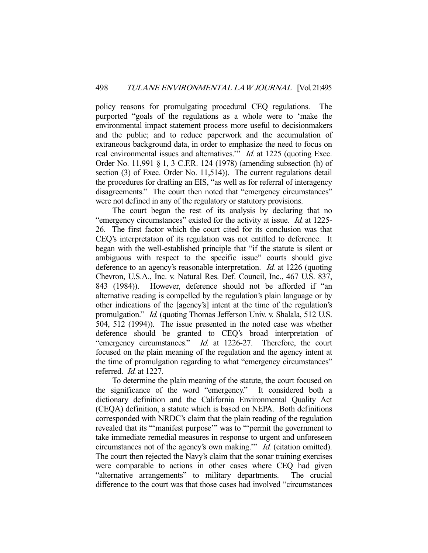policy reasons for promulgating procedural CEQ regulations. The purported "goals of the regulations as a whole were to 'make the environmental impact statement process more useful to decisionmakers and the public; and to reduce paperwork and the accumulation of extraneous background data, in order to emphasize the need to focus on real environmental issues and alternatives." Id. at 1225 (quoting Exec. Order No. 11,991 § 1, 3 C.F.R. 124 (1978) (amending subsection (h) of section (3) of Exec. Order No. 11,514)). The current regulations detail the procedures for drafting an EIS, "as well as for referral of interagency disagreements." The court then noted that "emergency circumstances" were not defined in any of the regulatory or statutory provisions.

 The court began the rest of its analysis by declaring that no "emergency circumstances" existed for the activity at issue. Id. at 1225- 26. The first factor which the court cited for its conclusion was that CEQ's interpretation of its regulation was not entitled to deference. It began with the well-established principle that "if the statute is silent or ambiguous with respect to the specific issue" courts should give deference to an agency's reasonable interpretation. Id. at 1226 (quoting Chevron, U.S.A., Inc. v. Natural Res. Def. Council, Inc., 467 U.S. 837, 843 (1984)). However, deference should not be afforded if "an alternative reading is compelled by the regulation's plain language or by other indications of the [agency's] intent at the time of the regulation's promulgation." Id. (quoting Thomas Jefferson Univ. v. Shalala, 512 U.S. 504, 512 (1994)). The issue presented in the noted case was whether deference should be granted to CEQ's broad interpretation of "emergency circumstances." *Id.* at 1226-27. Therefore, the court focused on the plain meaning of the regulation and the agency intent at the time of promulgation regarding to what "emergency circumstances" referred. Id. at 1227.

 To determine the plain meaning of the statute, the court focused on the significance of the word "emergency." It considered both a dictionary definition and the California Environmental Quality Act (CEQA) definition, a statute which is based on NEPA. Both definitions corresponded with NRDC's claim that the plain reading of the regulation revealed that its "'manifest purpose'" was to "'permit the government to take immediate remedial measures in response to urgent and unforeseen circumstances not of the agency's own making.'" Id. (citation omitted). The court then rejected the Navy's claim that the sonar training exercises were comparable to actions in other cases where CEQ had given "alternative arrangements" to military departments. The crucial difference to the court was that those cases had involved "circumstances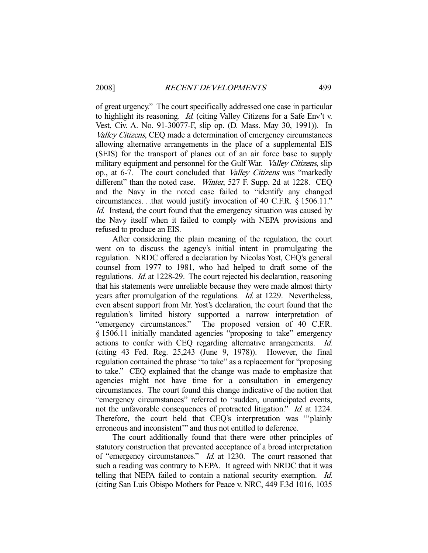of great urgency." The court specifically addressed one case in particular to highlight its reasoning. Id. (citing Valley Citizens for a Safe Env't v. Vest, Civ. A. No. 91-30077-F, slip op. (D. Mass. May 30, 1991)). In Valley Citizens, CEQ made a determination of emergency circumstances allowing alternative arrangements in the place of a supplemental EIS (SEIS) for the transport of planes out of an air force base to supply military equipment and personnel for the Gulf War. *Valley Citizens*, slip op., at 6-7. The court concluded that Valley Citizens was "markedly different" than the noted case. *Winter*, 527 F. Supp. 2d at 1228. CEQ and the Navy in the noted case failed to "identify any changed circumstances. . .that would justify invocation of 40 C.F.R. § 1506.11." Id. Instead, the court found that the emergency situation was caused by the Navy itself when it failed to comply with NEPA provisions and refused to produce an EIS.

 After considering the plain meaning of the regulation, the court went on to discuss the agency's initial intent in promulgating the regulation. NRDC offered a declaration by Nicolas Yost, CEQ's general counsel from 1977 to 1981, who had helped to draft some of the regulations. Id. at 1228-29. The court rejected his declaration, reasoning that his statements were unreliable because they were made almost thirty years after promulgation of the regulations. Id. at 1229. Nevertheless, even absent support from Mr. Yost's declaration, the court found that the regulation's limited history supported a narrow interpretation of "emergency circumstances." The proposed version of 40 C.F.R. § 1506.11 initially mandated agencies "proposing to take" emergency actions to confer with CEQ regarding alternative arrangements. Id. (citing 43 Fed. Reg. 25,243 (June 9, 1978)). However, the final regulation contained the phrase "to take" as a replacement for "proposing to take." CEQ explained that the change was made to emphasize that agencies might not have time for a consultation in emergency circumstances. The court found this change indicative of the notion that "emergency circumstances" referred to "sudden, unanticipated events, not the unfavorable consequences of protracted litigation." *Id.* at 1224. Therefore, the court held that CEQ's interpretation was "'plainly erroneous and inconsistent'" and thus not entitled to deference.

 The court additionally found that there were other principles of statutory construction that prevented acceptance of a broad interpretation of "emergency circumstances." Id. at 1230. The court reasoned that such a reading was contrary to NEPA. It agreed with NRDC that it was telling that NEPA failed to contain a national security exemption. Id. (citing San Luis Obispo Mothers for Peace v. NRC, 449 F.3d 1016, 1035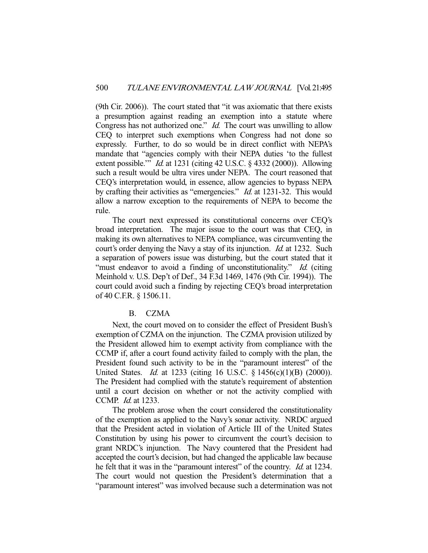(9th Cir. 2006)). The court stated that "it was axiomatic that there exists a presumption against reading an exemption into a statute where Congress has not authorized one." *Id.* The court was unwilling to allow CEQ to interpret such exemptions when Congress had not done so expressly. Further, to do so would be in direct conflict with NEPA's mandate that "agencies comply with their NEPA duties 'to the fullest extent possible." *Id.* at 1231 (citing 42 U.S.C. § 4332 (2000)). Allowing such a result would be ultra vires under NEPA. The court reasoned that CEQ's interpretation would, in essence, allow agencies to bypass NEPA by crafting their activities as "emergencies." *Id.* at 1231-32. This would allow a narrow exception to the requirements of NEPA to become the rule.

 The court next expressed its constitutional concerns over CEQ's broad interpretation. The major issue to the court was that CEQ, in making its own alternatives to NEPA compliance, was circumventing the court's order denying the Navy a stay of its injunction. *Id.* at 1232. Such a separation of powers issue was disturbing, but the court stated that it "must endeavor to avoid a finding of unconstitutionality." Id. (citing Meinhold v. U.S. Dep't of Def., 34 F.3d 1469, 1476 (9th Cir. 1994)). The court could avoid such a finding by rejecting CEQ's broad interpretation of 40 C.F.R. § 1506.11.

## B. CZMA

 Next, the court moved on to consider the effect of President Bush's exemption of CZMA on the injunction. The CZMA provision utilized by the President allowed him to exempt activity from compliance with the CCMP if, after a court found activity failed to comply with the plan, the President found such activity to be in the "paramount interest" of the United States. *Id.* at 1233 (citing 16 U.S.C. § 1456(c)(1)(B) (2000)). The President had complied with the statute's requirement of abstention until a court decision on whether or not the activity complied with CCMP. Id. at 1233.

 The problem arose when the court considered the constitutionality of the exemption as applied to the Navy's sonar activity. NRDC argued that the President acted in violation of Article III of the United States Constitution by using his power to circumvent the court's decision to grant NRDC's injunction. The Navy countered that the President had accepted the court's decision, but had changed the applicable law because he felt that it was in the "paramount interest" of the country. *Id.* at 1234. The court would not question the President's determination that a "paramount interest" was involved because such a determination was not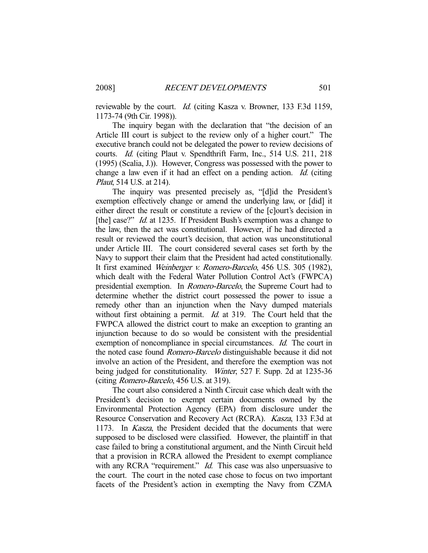reviewable by the court. *Id.* (citing Kasza v. Browner, 133 F.3d 1159, 1173-74 (9th Cir. 1998)).

 The inquiry began with the declaration that "the decision of an Article III court is subject to the review only of a higher court." The executive branch could not be delegated the power to review decisions of courts. Id. (citing Plaut v. Spendthrift Farm, Inc., 514 U.S. 211, 218 (1995) (Scalia, J.)). However, Congress was possessed with the power to change a law even if it had an effect on a pending action. Id. (citing Plaut, 514 U.S. at 214).

 The inquiry was presented precisely as, "[d]id the President's exemption effectively change or amend the underlying law, or [did] it either direct the result or constitute a review of the [c]ourt's decision in [the] case?" *Id.* at 1235. If President Bush's exemption was a change to the law, then the act was constitutional. However, if he had directed a result or reviewed the court's decision, that action was unconstitutional under Article III. The court considered several cases set forth by the Navy to support their claim that the President had acted constitutionally. It first examined Weinberger v. Romero-Barcelo, 456 U.S. 305 (1982), which dealt with the Federal Water Pollution Control Act's (FWPCA) presidential exemption. In Romero-Barcelo, the Supreme Court had to determine whether the district court possessed the power to issue a remedy other than an injunction when the Navy dumped materials without first obtaining a permit. *Id.* at 319. The Court held that the FWPCA allowed the district court to make an exception to granting an injunction because to do so would be consistent with the presidential exemption of noncompliance in special circumstances. *Id.* The court in the noted case found Romero-Barcelo distinguishable because it did not involve an action of the President, and therefore the exemption was not being judged for constitutionality. Winter, 527 F. Supp. 2d at 1235-36 (citing Romero-Barcelo, 456 U.S. at 319).

 The court also considered a Ninth Circuit case which dealt with the President's decision to exempt certain documents owned by the Environmental Protection Agency (EPA) from disclosure under the Resource Conservation and Recovery Act (RCRA). Kasza, 133 F.3d at 1173. In Kasza, the President decided that the documents that were supposed to be disclosed were classified. However, the plaintiff in that case failed to bring a constitutional argument, and the Ninth Circuit held that a provision in RCRA allowed the President to exempt compliance with any RCRA "requirement."  $Id$ . This case was also unpersuasive to the court. The court in the noted case chose to focus on two important facets of the President's action in exempting the Navy from CZMA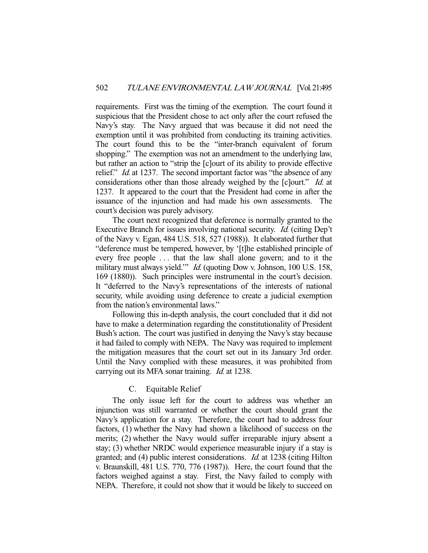requirements. First was the timing of the exemption. The court found it suspicious that the President chose to act only after the court refused the Navy's stay. The Navy argued that was because it did not need the exemption until it was prohibited from conducting its training activities. The court found this to be the "inter-branch equivalent of forum shopping." The exemption was not an amendment to the underlying law, but rather an action to "strip the [c]ourt of its ability to provide effective relief." *Id.* at 1237. The second important factor was "the absence of any considerations other than those already weighed by the [c]ourt." *Id.* at 1237. It appeared to the court that the President had come in after the issuance of the injunction and had made his own assessments. The court's decision was purely advisory.

 The court next recognized that deference is normally granted to the Executive Branch for issues involving national security. Id. (citing Dep't of the Navy v. Egan, 484 U.S. 518, 527 (1988)). It elaborated further that "deference must be tempered, however, by '[t]he established principle of every free people . . . that the law shall alone govern; and to it the military must always yield." *Id.* (quoting Dow v. Johnson, 100 U.S. 158, 169 (1880)). Such principles were instrumental in the court's decision. It "deferred to the Navy's representations of the interests of national security, while avoiding using deference to create a judicial exemption from the nation's environmental laws."

 Following this in-depth analysis, the court concluded that it did not have to make a determination regarding the constitutionality of President Bush's action. The court was justified in denying the Navy's stay because it had failed to comply with NEPA. The Navy was required to implement the mitigation measures that the court set out in its January 3rd order. Until the Navy complied with these measures, it was prohibited from carrying out its MFA sonar training. *Id.* at 1238.

## C. Equitable Relief

 The only issue left for the court to address was whether an injunction was still warranted or whether the court should grant the Navy's application for a stay. Therefore, the court had to address four factors, (1) whether the Navy had shown a likelihood of success on the merits; (2) whether the Navy would suffer irreparable injury absent a stay; (3) whether NRDC would experience measurable injury if a stay is granted; and (4) public interest considerations. Id. at 1238 (citing Hilton v. Braunskill, 481 U.S. 770, 776 (1987)). Here, the court found that the factors weighed against a stay. First, the Navy failed to comply with NEPA. Therefore, it could not show that it would be likely to succeed on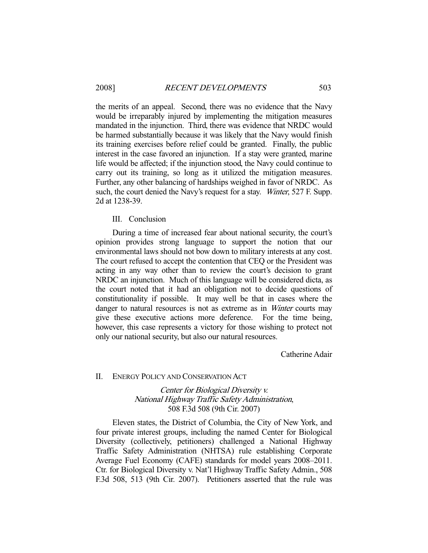the merits of an appeal. Second, there was no evidence that the Navy would be irreparably injured by implementing the mitigation measures mandated in the injunction. Third, there was evidence that NRDC would be harmed substantially because it was likely that the Navy would finish its training exercises before relief could be granted. Finally, the public interest in the case favored an injunction. If a stay were granted, marine life would be affected; if the injunction stood, the Navy could continue to carry out its training, so long as it utilized the mitigation measures. Further, any other balancing of hardships weighed in favor of NRDC. As such, the court denied the Navy's request for a stay. Winter, 527 F. Supp. 2d at 1238-39.

## III. Conclusion

 During a time of increased fear about national security, the court's opinion provides strong language to support the notion that our environmental laws should not bow down to military interests at any cost. The court refused to accept the contention that CEQ or the President was acting in any way other than to review the court's decision to grant NRDC an injunction. Much of this language will be considered dicta, as the court noted that it had an obligation not to decide questions of constitutionality if possible. It may well be that in cases where the danger to natural resources is not as extreme as in *Winter* courts may give these executive actions more deference. For the time being, however, this case represents a victory for those wishing to protect not only our national security, but also our natural resources.

Catherine Adair

#### II. ENERGY POLICY AND CONSERVATION ACT

Center for Biological Diversity v. National Highway Traffic Safety Administration, 508 F.3d 508 (9th Cir. 2007)

 Eleven states, the District of Columbia, the City of New York, and four private interest groups, including the named Center for Biological Diversity (collectively, petitioners) challenged a National Highway Traffic Safety Administration (NHTSA) rule establishing Corporate Average Fuel Economy (CAFE) standards for model years 2008–2011. Ctr. for Biological Diversity v. Nat'l Highway Traffic Safety Admin., 508 F.3d 508, 513 (9th Cir. 2007). Petitioners asserted that the rule was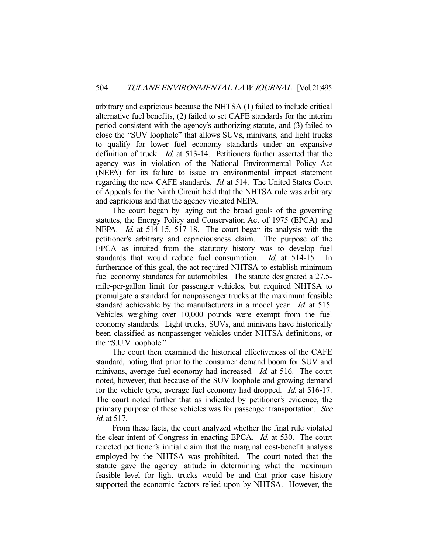arbitrary and capricious because the NHTSA (1) failed to include critical alternative fuel benefits, (2) failed to set CAFE standards for the interim period consistent with the agency's authorizing statute, and (3) failed to close the "SUV loophole" that allows SUVs, minivans, and light trucks to qualify for lower fuel economy standards under an expansive definition of truck. *Id.* at 513-14. Petitioners further asserted that the agency was in violation of the National Environmental Policy Act (NEPA) for its failure to issue an environmental impact statement regarding the new CAFE standards. Id. at 514. The United States Court of Appeals for the Ninth Circuit held that the NHTSA rule was arbitrary and capricious and that the agency violated NEPA.

 The court began by laying out the broad goals of the governing statutes, the Energy Policy and Conservation Act of 1975 (EPCA) and NEPA. *Id.* at 514-15, 517-18. The court began its analysis with the petitioner's arbitrary and capriciousness claim. The purpose of the EPCA as intuited from the statutory history was to develop fuel standards that would reduce fuel consumption. *Id.* at 514-15. furtherance of this goal, the act required NHTSA to establish minimum fuel economy standards for automobiles. The statute designated a 27.5 mile-per-gallon limit for passenger vehicles, but required NHTSA to promulgate a standard for nonpassenger trucks at the maximum feasible standard achievable by the manufacturers in a model year. *Id.* at 515. Vehicles weighing over 10,000 pounds were exempt from the fuel economy standards. Light trucks, SUVs, and minivans have historically been classified as nonpassenger vehicles under NHTSA definitions, or the "S.U.V. loophole."

 The court then examined the historical effectiveness of the CAFE standard, noting that prior to the consumer demand boom for SUV and minivans, average fuel economy had increased. *Id.* at 516. The court noted, however, that because of the SUV loophole and growing demand for the vehicle type, average fuel economy had dropped. Id. at 516-17. The court noted further that as indicated by petitioner's evidence, the primary purpose of these vehicles was for passenger transportation. See id. at 517.

 From these facts, the court analyzed whether the final rule violated the clear intent of Congress in enacting EPCA. Id. at 530. The court rejected petitioner's initial claim that the marginal cost-benefit analysis employed by the NHTSA was prohibited. The court noted that the statute gave the agency latitude in determining what the maximum feasible level for light trucks would be and that prior case history supported the economic factors relied upon by NHTSA. However, the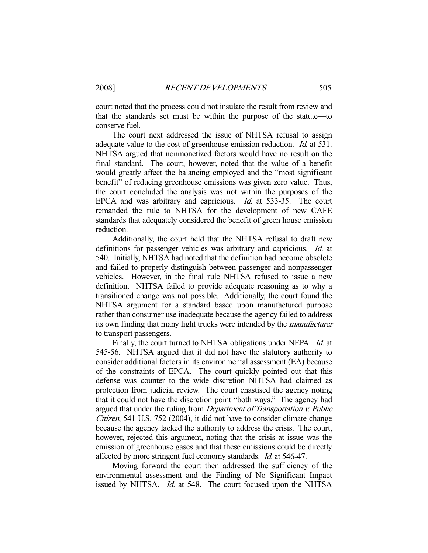court noted that the process could not insulate the result from review and that the standards set must be within the purpose of the statute—to conserve fuel.

 The court next addressed the issue of NHTSA refusal to assign adequate value to the cost of greenhouse emission reduction. *Id.* at 531. NHTSA argued that nonmonetized factors would have no result on the final standard. The court, however, noted that the value of a benefit would greatly affect the balancing employed and the "most significant benefit" of reducing greenhouse emissions was given zero value. Thus, the court concluded the analysis was not within the purposes of the EPCA and was arbitrary and capricious. *Id.* at 533-35. The court remanded the rule to NHTSA for the development of new CAFE standards that adequately considered the benefit of green house emission reduction.

 Additionally, the court held that the NHTSA refusal to draft new definitions for passenger vehicles was arbitrary and capricious. Id. at 540. Initially, NHTSA had noted that the definition had become obsolete and failed to properly distinguish between passenger and nonpassenger vehicles. However, in the final rule NHTSA refused to issue a new definition. NHTSA failed to provide adequate reasoning as to why a transitioned change was not possible. Additionally, the court found the NHTSA argument for a standard based upon manufactured purpose rather than consumer use inadequate because the agency failed to address its own finding that many light trucks were intended by the manufacturer to transport passengers.

Finally, the court turned to NHTSA obligations under NEPA. *Id.* at 545-56. NHTSA argued that it did not have the statutory authority to consider additional factors in its environmental assessment (EA) because of the constraints of EPCA. The court quickly pointed out that this defense was counter to the wide discretion NHTSA had claimed as protection from judicial review. The court chastised the agency noting that it could not have the discretion point "both ways." The agency had argued that under the ruling from Department of Transportation v. Public Citizen, 541 U.S. 752 (2004), it did not have to consider climate change because the agency lacked the authority to address the crisis. The court, however, rejected this argument, noting that the crisis at issue was the emission of greenhouse gases and that these emissions could be directly affected by more stringent fuel economy standards. Id. at 546-47.

 Moving forward the court then addressed the sufficiency of the environmental assessment and the Finding of No Significant Impact issued by NHTSA. *Id.* at 548. The court focused upon the NHTSA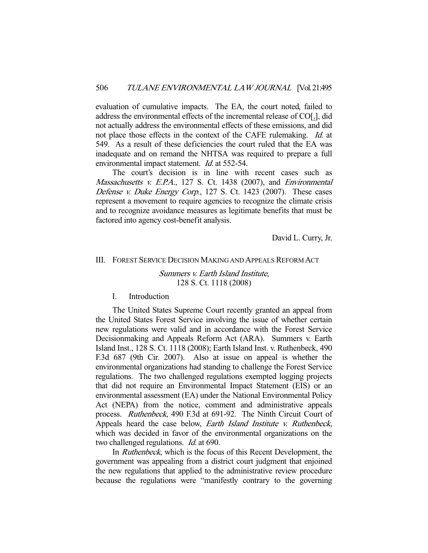evaluation of cumulative impacts. The EA, the court noted, failed to address the environmental effects of the incremental release of  $CO[<sub>2</sub>]$ , did not actually address the environmental effects of these emissions, and did not place those effects in the context of the CAFE rulemaking. *Id.* at 549. As a result of these deficiencies the court ruled that the EA was inadequate and on remand the NHTSA was required to prepare a full environmental impact statement. *Id.* at 552-54.

 The court's decision is in line with recent cases such as Massachusetts v. E.P.A., 127 S. Ct. 1438 (2007), and Environmental Defense v. Duke Energy Corp., 127 S. Ct. 1423 (2007). These cases represent a movement to require agencies to recognize the climate crisis and to recognize avoidance measures as legitimate benefits that must be factored into agency cost-benefit analysis.

David L. Curry, Jr.

#### III. FOREST SERVICE DECISION MAKING AND APPEALS REFORM ACT

Summers v. Earth Island Institute, 128 S. Ct. 1118 (2008)

## I. Introduction

 The United States Supreme Court recently granted an appeal from the United States Forest Service involving the issue of whether certain new regulations were valid and in accordance with the Forest Service Decisionmaking and Appeals Reform Act (ARA). Summers v. Earth Island Inst., 128 S. Ct. 1118 (2008); Earth Island Inst. v. Ruthenbeck, 490 F.3d 687 (9th Cir. 2007). Also at issue on appeal is whether the environmental organizations had standing to challenge the Forest Service regulations. The two challenged regulations exempted logging projects that did not require an Environmental Impact Statement (EIS) or an environmental assessment (EA) under the National Environmental Policy Act (NEPA) from the notice, comment and administrative appeals process. Ruthenbeck, 490 F.3d at 691-92. The Ninth Circuit Court of Appeals heard the case below, *Earth Island Institute v. Ruthenbeck*, which was decided in favor of the environmental organizations on the two challenged regulations. *Id.* at 690.

 In Ruthenbeck, which is the focus of this Recent Development, the government was appealing from a district court judgment that enjoined the new regulations that applied to the administrative review procedure because the regulations were "manifestly contrary to the governing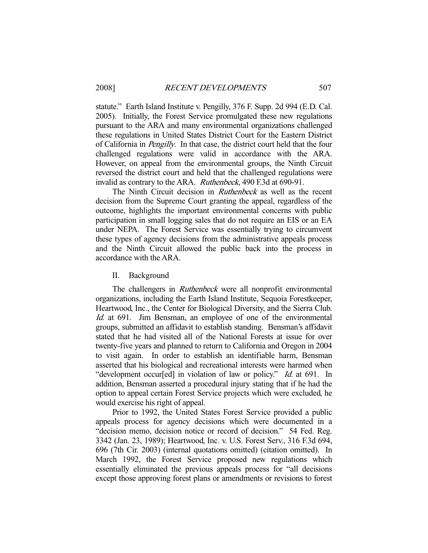statute." Earth Island Institute v. Pengilly, 376 F. Supp. 2d 994 (E.D. Cal. 2005). Initially, the Forest Service promulgated these new regulations pursuant to the ARA and many environmental organizations challenged these regulations in United States District Court for the Eastern District of California in Pengilly. In that case, the district court held that the four challenged regulations were valid in accordance with the ARA. However, on appeal from the environmental groups, the Ninth Circuit reversed the district court and held that the challenged regulations were invalid as contrary to the ARA. Ruthenbeck, 490 F.3d at 690-91.

The Ninth Circuit decision in *Ruthenbeck* as well as the recent decision from the Supreme Court granting the appeal, regardless of the outcome, highlights the important environmental concerns with public participation in small logging sales that do not require an EIS or an EA under NEPA. The Forest Service was essentially trying to circumvent these types of agency decisions from the administrative appeals process and the Ninth Circuit allowed the public back into the process in accordance with the ARA.

II. Background

The challengers in *Ruthenbeck* were all nonprofit environmental organizations, including the Earth Island Institute, Sequoia Forestkeeper, Heartwood, Inc., the Center for Biological Diversity, and the Sierra Club. Id. at 691. Jim Bensman, an employee of one of the environmental groups, submitted an affidavit to establish standing. Bensman's affidavit stated that he had visited all of the National Forests at issue for over twenty-five years and planned to return to California and Oregon in 2004 to visit again. In order to establish an identifiable harm, Bensman asserted that his biological and recreational interests were harmed when "development occur<sup>[ed]</sup> in violation of law or policy." *Id.* at 691. In addition, Bensman asserted a procedural injury stating that if he had the option to appeal certain Forest Service projects which were excluded, he would exercise his right of appeal.

 Prior to 1992, the United States Forest Service provided a public appeals process for agency decisions which were documented in a "decision memo, decision notice or record of decision." 54 Fed. Reg. 3342 (Jan. 23, 1989); Heartwood, Inc. v. U.S. Forest Serv., 316 F.3d 694, 696 (7th Cir. 2003) (internal quotations omitted) (citation omitted). In March 1992, the Forest Service proposed new regulations which essentially eliminated the previous appeals process for "all decisions except those approving forest plans or amendments or revisions to forest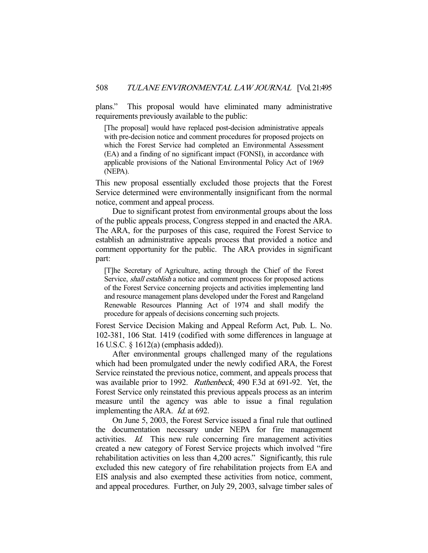plans." This proposal would have eliminated many administrative requirements previously available to the public:

[The proposal] would have replaced post-decision administrative appeals with pre-decision notice and comment procedures for proposed projects on which the Forest Service had completed an Environmental Assessment (EA) and a finding of no significant impact (FONSI), in accordance with applicable provisions of the National Environmental Policy Act of 1969 (NEPA).

This new proposal essentially excluded those projects that the Forest Service determined were environmentally insignificant from the normal notice, comment and appeal process.

 Due to significant protest from environmental groups about the loss of the public appeals process, Congress stepped in and enacted the ARA. The ARA, for the purposes of this case, required the Forest Service to establish an administrative appeals process that provided a notice and comment opportunity for the public. The ARA provides in significant part:

[T]he Secretary of Agriculture, acting through the Chief of the Forest Service, shall establish a notice and comment process for proposed actions of the Forest Service concerning projects and activities implementing land and resource management plans developed under the Forest and Rangeland Renewable Resources Planning Act of 1974 and shall modify the procedure for appeals of decisions concerning such projects.

Forest Service Decision Making and Appeal Reform Act, Pub. L. No. 102-381, 106 Stat. 1419 (codified with some differences in language at 16 U.S.C. § 1612(a) (emphasis added)).

 After environmental groups challenged many of the regulations which had been promulgated under the newly codified ARA, the Forest Service reinstated the previous notice, comment, and appeals process that was available prior to 1992. Ruthenbeck, 490 F.3d at 691-92. Yet, the Forest Service only reinstated this previous appeals process as an interim measure until the agency was able to issue a final regulation implementing the ARA. *Id.* at 692.

 On June 5, 2003, the Forest Service issued a final rule that outlined the documentation necessary under NEPA for fire management activities. Id. This new rule concerning fire management activities created a new category of Forest Service projects which involved "fire rehabilitation activities on less than 4,200 acres." Significantly, this rule excluded this new category of fire rehabilitation projects from EA and EIS analysis and also exempted these activities from notice, comment, and appeal procedures. Further, on July 29, 2003, salvage timber sales of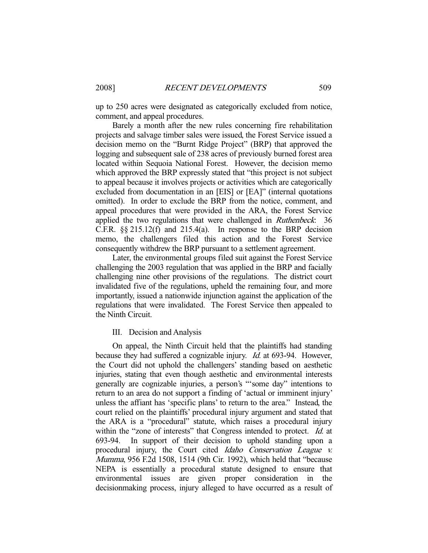up to 250 acres were designated as categorically excluded from notice, comment, and appeal procedures.

 Barely a month after the new rules concerning fire rehabilitation projects and salvage timber sales were issued, the Forest Service issued a decision memo on the "Burnt Ridge Project" (BRP) that approved the logging and subsequent sale of 238 acres of previously burned forest area located within Sequoia National Forest. However, the decision memo which approved the BRP expressly stated that "this project is not subject to appeal because it involves projects or activities which are categorically excluded from documentation in an [EIS] or [EA]" (internal quotations omitted). In order to exclude the BRP from the notice, comment, and appeal procedures that were provided in the ARA, the Forest Service applied the two regulations that were challenged in Ruthenbeck: 36 C.F.R.  $\S$ § 215.12(f) and 215.4(a). In response to the BRP decision memo, the challengers filed this action and the Forest Service consequently withdrew the BRP pursuant to a settlement agreement.

 Later, the environmental groups filed suit against the Forest Service challenging the 2003 regulation that was applied in the BRP and facially challenging nine other provisions of the regulations. The district court invalidated five of the regulations, upheld the remaining four, and more importantly, issued a nationwide injunction against the application of the regulations that were invalidated. The Forest Service then appealed to the Ninth Circuit.

#### III. Decision and Analysis

 On appeal, the Ninth Circuit held that the plaintiffs had standing because they had suffered a cognizable injury. Id. at 693-94. However, the Court did not uphold the challengers' standing based on aesthetic injuries, stating that even though aesthetic and environmental interests generally are cognizable injuries, a person's "'some day" intentions to return to an area do not support a finding of 'actual or imminent injury' unless the affiant has 'specific plans' to return to the area." Instead, the court relied on the plaintiffs' procedural injury argument and stated that the ARA is a "procedural" statute, which raises a procedural injury within the "zone of interests" that Congress intended to protect. *Id.* at 693-94. In support of their decision to uphold standing upon a procedural injury, the Court cited Idaho Conservation League v. Mumma, 956 F.2d 1508, 1514 (9th Cir. 1992), which held that "because NEPA is essentially a procedural statute designed to ensure that environmental issues are given proper consideration in the decisionmaking process, injury alleged to have occurred as a result of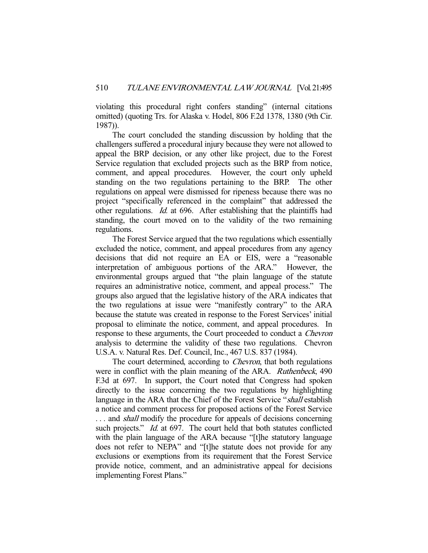violating this procedural right confers standing" (internal citations omitted) (quoting Trs. for Alaska v. Hodel, 806 F.2d 1378, 1380 (9th Cir. 1987)).

 The court concluded the standing discussion by holding that the challengers suffered a procedural injury because they were not allowed to appeal the BRP decision, or any other like project, due to the Forest Service regulation that excluded projects such as the BRP from notice, comment, and appeal procedures. However, the court only upheld standing on the two regulations pertaining to the BRP. The other regulations on appeal were dismissed for ripeness because there was no project "specifically referenced in the complaint" that addressed the other regulations. Id. at 696. After establishing that the plaintiffs had standing, the court moved on to the validity of the two remaining regulations.

 The Forest Service argued that the two regulations which essentially excluded the notice, comment, and appeal procedures from any agency decisions that did not require an EA or EIS, were a "reasonable interpretation of ambiguous portions of the ARA." However, the environmental groups argued that "the plain language of the statute requires an administrative notice, comment, and appeal process." The groups also argued that the legislative history of the ARA indicates that the two regulations at issue were "manifestly contrary" to the ARA because the statute was created in response to the Forest Services' initial proposal to eliminate the notice, comment, and appeal procedures. In response to these arguments, the Court proceeded to conduct a Chevron analysis to determine the validity of these two regulations. Chevron U.S.A. v. Natural Res. Def. Council, Inc., 467 U.S. 837 (1984).

The court determined, according to *Chevron*, that both regulations were in conflict with the plain meaning of the ARA. *Ruthenbeck*, 490 F.3d at 697. In support, the Court noted that Congress had spoken directly to the issue concerning the two regulations by highlighting language in the ARA that the Chief of the Forest Service "shall establish" a notice and comment process for proposed actions of the Forest Service ... and *shall* modify the procedure for appeals of decisions concerning such projects." *Id.* at 697. The court held that both statutes conflicted with the plain language of the ARA because "[t]he statutory language does not refer to NEPA" and "[t]he statute does not provide for any exclusions or exemptions from its requirement that the Forest Service provide notice, comment, and an administrative appeal for decisions implementing Forest Plans."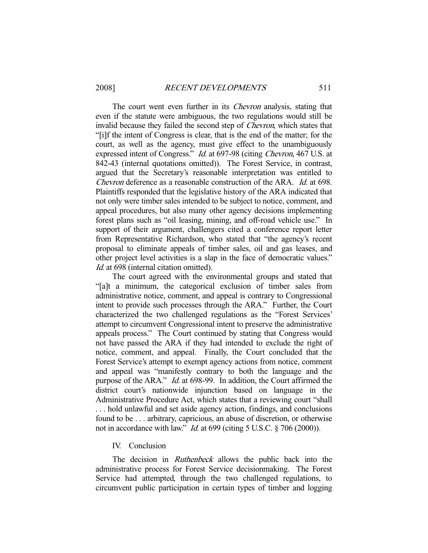The court went even further in its *Chevron* analysis, stating that even if the statute were ambiguous, the two regulations would still be invalid because they failed the second step of Chevron, which states that "[i]f the intent of Congress is clear, that is the end of the matter; for the court, as well as the agency, must give effect to the unambiguously expressed intent of Congress." Id. at 697-98 (citing Chevron, 467 U.S. at 842-43 (internal quotations omitted)). The Forest Service, in contrast, argued that the Secretary's reasonable interpretation was entitled to Chevron deference as a reasonable construction of the ARA. Id. at 698. Plaintiffs responded that the legislative history of the ARA indicated that not only were timber sales intended to be subject to notice, comment, and appeal procedures, but also many other agency decisions implementing forest plans such as "oil leasing, mining, and off-road vehicle use." In support of their argument, challengers cited a conference report letter from Representative Richardson, who stated that "the agency's recent proposal to eliminate appeals of timber sales, oil and gas leases, and other project level activities is a slap in the face of democratic values." Id. at 698 (internal citation omitted).

 The court agreed with the environmental groups and stated that "[a]t a minimum, the categorical exclusion of timber sales from administrative notice, comment, and appeal is contrary to Congressional intent to provide such processes through the ARA." Further, the Court characterized the two challenged regulations as the "Forest Services' attempt to circumvent Congressional intent to preserve the administrative appeals process." The Court continued by stating that Congress would not have passed the ARA if they had intended to exclude the right of notice, comment, and appeal. Finally, the Court concluded that the Forest Service's attempt to exempt agency actions from notice, comment and appeal was "manifestly contrary to both the language and the purpose of the ARA." Id. at 698-99. In addition, the Court affirmed the district court's nationwide injunction based on language in the Administrative Procedure Act, which states that a reviewing court "shall . . . hold unlawful and set aside agency action, findings, and conclusions found to be . . . arbitrary, capricious, an abuse of discretion, or otherwise not in accordance with law." *Id.* at 699 (citing 5 U.S.C. § 706 (2000)).

## IV. Conclusion

The decision in *Ruthenbeck* allows the public back into the administrative process for Forest Service decisionmaking. The Forest Service had attempted, through the two challenged regulations, to circumvent public participation in certain types of timber and logging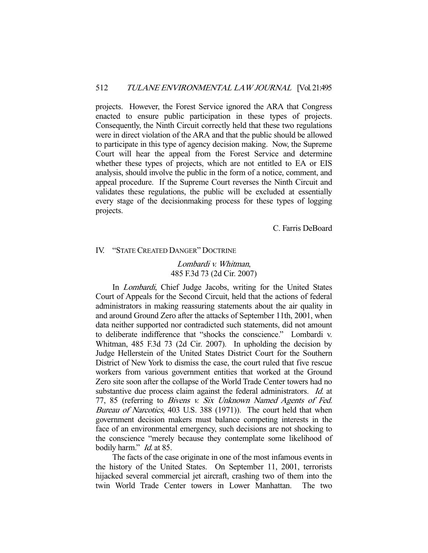projects. However, the Forest Service ignored the ARA that Congress enacted to ensure public participation in these types of projects. Consequently, the Ninth Circuit correctly held that these two regulations were in direct violation of the ARA and that the public should be allowed to participate in this type of agency decision making. Now, the Supreme Court will hear the appeal from the Forest Service and determine whether these types of projects, which are not entitled to EA or EIS analysis, should involve the public in the form of a notice, comment, and appeal procedure. If the Supreme Court reverses the Ninth Circuit and validates these regulations, the public will be excluded at essentially every stage of the decisionmaking process for these types of logging projects.

C. Farris DeBoard

#### IV. "STATE CREATED DANGER" DOCTRINE

## Lombardi v. Whitman, 485 F.3d 73 (2d Cir. 2007)

 In Lombardi, Chief Judge Jacobs, writing for the United States Court of Appeals for the Second Circuit, held that the actions of federal administrators in making reassuring statements about the air quality in and around Ground Zero after the attacks of September 11th, 2001, when data neither supported nor contradicted such statements, did not amount to deliberate indifference that "shocks the conscience." Lombardi v. Whitman, 485 F.3d 73 (2d Cir. 2007). In upholding the decision by Judge Hellerstein of the United States District Court for the Southern District of New York to dismiss the case, the court ruled that five rescue workers from various government entities that worked at the Ground Zero site soon after the collapse of the World Trade Center towers had no substantive due process claim against the federal administrators. Id. at 77, 85 (referring to Bivens v. Six Unknown Named Agents of Fed. Bureau of Narcotics, 403 U.S. 388 (1971)). The court held that when government decision makers must balance competing interests in the face of an environmental emergency, such decisions are not shocking to the conscience "merely because they contemplate some likelihood of bodily harm." *Id.* at 85.

 The facts of the case originate in one of the most infamous events in the history of the United States. On September 11, 2001, terrorists hijacked several commercial jet aircraft, crashing two of them into the twin World Trade Center towers in Lower Manhattan. The two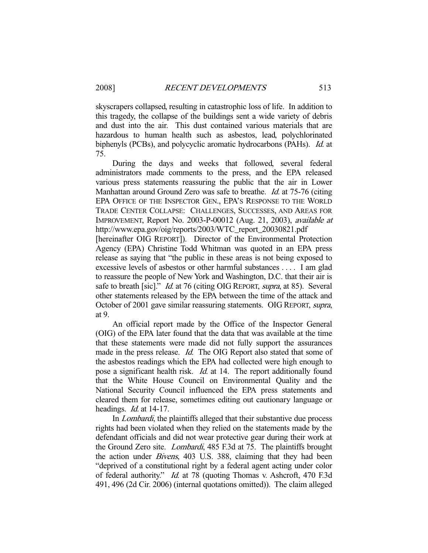skyscrapers collapsed, resulting in catastrophic loss of life. In addition to this tragedy, the collapse of the buildings sent a wide variety of debris and dust into the air. This dust contained various materials that are hazardous to human health such as asbestos, lead, polychlorinated biphenyls (PCBs), and polycyclic aromatic hydrocarbons (PAHs). Id. at 75.

 During the days and weeks that followed, several federal administrators made comments to the press, and the EPA released various press statements reassuring the public that the air in Lower Manhattan around Ground Zero was safe to breathe. Id. at 75-76 (citing EPA OFFICE OF THE INSPECTOR GEN., EPA'S RESPONSE TO THE WORLD TRADE CENTER COLLAPSE: CHALLENGES, SUCCESSES, AND AREAS FOR IMPROVEMENT, Report No. 2003-P-00012 (Aug. 21, 2003), available at http://www.epa.gov/oig/reports/2003/WTC\_report\_20030821.pdf

[hereinafter OIG REPORT]). Director of the Environmental Protection Agency (EPA) Christine Todd Whitman was quoted in an EPA press release as saying that "the public in these areas is not being exposed to excessive levels of asbestos or other harmful substances . . . . I am glad to reassure the people of New York and Washington, D.C. that their air is safe to breath [sic]." *Id.* at 76 (citing OIG REPORT, *supra*, at 85). Several other statements released by the EPA between the time of the attack and October of 2001 gave similar reassuring statements. OIG REPORT, supra, at 9.

 An official report made by the Office of the Inspector General (OIG) of the EPA later found that the data that was available at the time that these statements were made did not fully support the assurances made in the press release. *Id.* The OIG Report also stated that some of the asbestos readings which the EPA had collected were high enough to pose a significant health risk. *Id.* at 14. The report additionally found that the White House Council on Environmental Quality and the National Security Council influenced the EPA press statements and cleared them for release, sometimes editing out cautionary language or headings. *Id.* at 14-17.

In *Lombardi*, the plaintiffs alleged that their substantive due process rights had been violated when they relied on the statements made by the defendant officials and did not wear protective gear during their work at the Ground Zero site. Lombardi, 485 F.3d at 75. The plaintiffs brought the action under Bivens, 403 U.S. 388, claiming that they had been "deprived of a constitutional right by a federal agent acting under color of federal authority." Id. at 78 (quoting Thomas v. Ashcroft, 470 F.3d 491, 496 (2d Cir. 2006) (internal quotations omitted)). The claim alleged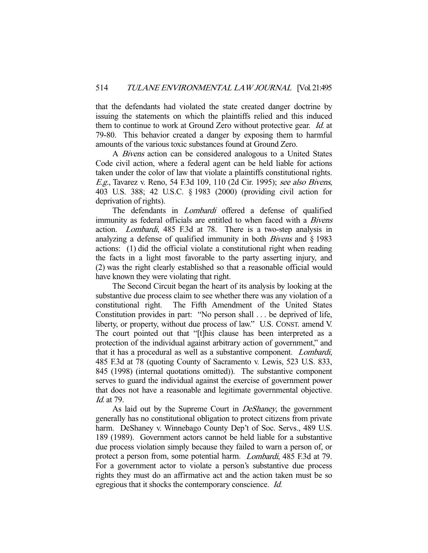that the defendants had violated the state created danger doctrine by issuing the statements on which the plaintiffs relied and this induced them to continue to work at Ground Zero without protective gear. Id. at 79-80. This behavior created a danger by exposing them to harmful amounts of the various toxic substances found at Ground Zero.

A *Bivens* action can be considered analogous to a United States Code civil action, where a federal agent can be held liable for actions taken under the color of law that violate a plaintiffs constitutional rights. E.g., Tavarez v. Reno, 54 F.3d 109, 110 (2d Cir. 1995); see also Bivens, 403 U.S. 388; 42 U.S.C. § 1983 (2000) (providing civil action for deprivation of rights).

The defendants in *Lombardi* offered a defense of qualified immunity as federal officials are entitled to when faced with a *Bivens* action. Lombardi, 485 F.3d at 78. There is a two-step analysis in analyzing a defense of qualified immunity in both *Bivens* and  $\S$  1983 actions: (1) did the official violate a constitutional right when reading the facts in a light most favorable to the party asserting injury, and (2) was the right clearly established so that a reasonable official would have known they were violating that right.

 The Second Circuit began the heart of its analysis by looking at the substantive due process claim to see whether there was any violation of a constitutional right. The Fifth Amendment of the United States Constitution provides in part: "No person shall . . . be deprived of life, liberty, or property, without due process of law." U.S. CONST. amend V. The court pointed out that "[t]his clause has been interpreted as a protection of the individual against arbitrary action of government," and that it has a procedural as well as a substantive component. Lombardi, 485 F.3d at 78 (quoting County of Sacramento v. Lewis, 523 U.S. 833, 845 (1998) (internal quotations omitted)). The substantive component serves to guard the individual against the exercise of government power that does not have a reasonable and legitimate governmental objective. Id. at 79.

As laid out by the Supreme Court in *DeShaney*, the government generally has no constitutional obligation to protect citizens from private harm. DeShaney v. Winnebago County Dep't of Soc. Servs., 489 U.S. 189 (1989). Government actors cannot be held liable for a substantive due process violation simply because they failed to warn a person of, or protect a person from, some potential harm. Lombardi, 485 F.3d at 79. For a government actor to violate a person's substantive due process rights they must do an affirmative act and the action taken must be so egregious that it shocks the contemporary conscience. Id.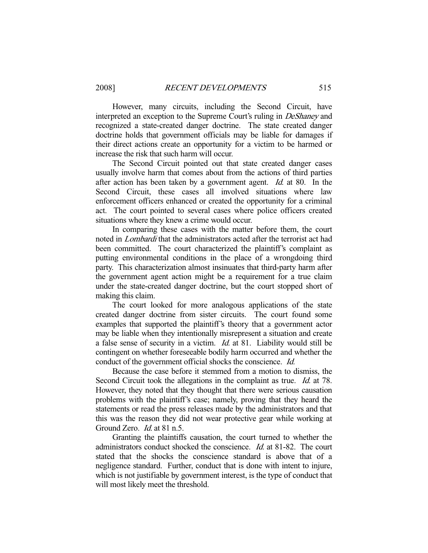However, many circuits, including the Second Circuit, have interpreted an exception to the Supreme Court's ruling in DeShaney and recognized a state-created danger doctrine. The state created danger doctrine holds that government officials may be liable for damages if their direct actions create an opportunity for a victim to be harmed or increase the risk that such harm will occur.

 The Second Circuit pointed out that state created danger cases usually involve harm that comes about from the actions of third parties after action has been taken by a government agent. Id. at 80. In the Second Circuit, these cases all involved situations where law enforcement officers enhanced or created the opportunity for a criminal act. The court pointed to several cases where police officers created situations where they knew a crime would occur.

 In comparing these cases with the matter before them, the court noted in Lombardi that the administrators acted after the terrorist act had been committed. The court characterized the plaintiff's complaint as putting environmental conditions in the place of a wrongdoing third party. This characterization almost insinuates that third-party harm after the government agent action might be a requirement for a true claim under the state-created danger doctrine, but the court stopped short of making this claim.

 The court looked for more analogous applications of the state created danger doctrine from sister circuits. The court found some examples that supported the plaintiff's theory that a government actor may be liable when they intentionally misrepresent a situation and create a false sense of security in a victim. Id. at 81. Liability would still be contingent on whether foreseeable bodily harm occurred and whether the conduct of the government official shocks the conscience. Id.

 Because the case before it stemmed from a motion to dismiss, the Second Circuit took the allegations in the complaint as true. *Id.* at 78. However, they noted that they thought that there were serious causation problems with the plaintiff's case; namely, proving that they heard the statements or read the press releases made by the administrators and that this was the reason they did not wear protective gear while working at Ground Zero. *Id.* at 81 n.5.

 Granting the plaintiffs causation, the court turned to whether the administrators conduct shocked the conscience.  $Id$  at 81-82. The court stated that the shocks the conscience standard is above that of a negligence standard. Further, conduct that is done with intent to injure, which is not justifiable by government interest, is the type of conduct that will most likely meet the threshold.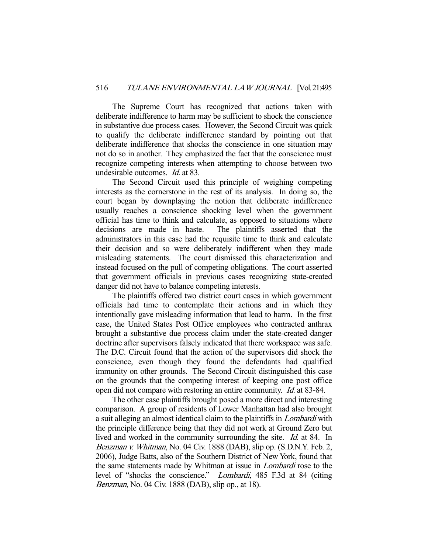The Supreme Court has recognized that actions taken with deliberate indifference to harm may be sufficient to shock the conscience in substantive due process cases. However, the Second Circuit was quick to qualify the deliberate indifference standard by pointing out that deliberate indifference that shocks the conscience in one situation may not do so in another. They emphasized the fact that the conscience must recognize competing interests when attempting to choose between two undesirable outcomes. Id. at 83.

 The Second Circuit used this principle of weighing competing interests as the cornerstone in the rest of its analysis. In doing so, the court began by downplaying the notion that deliberate indifference usually reaches a conscience shocking level when the government official has time to think and calculate, as opposed to situations where decisions are made in haste. The plaintiffs asserted that the administrators in this case had the requisite time to think and calculate their decision and so were deliberately indifferent when they made misleading statements. The court dismissed this characterization and instead focused on the pull of competing obligations. The court asserted that government officials in previous cases recognizing state-created danger did not have to balance competing interests.

 The plaintiffs offered two district court cases in which government officials had time to contemplate their actions and in which they intentionally gave misleading information that lead to harm. In the first case, the United States Post Office employees who contracted anthrax brought a substantive due process claim under the state-created danger doctrine after supervisors falsely indicated that there workspace was safe. The D.C. Circuit found that the action of the supervisors did shock the conscience, even though they found the defendants had qualified immunity on other grounds. The Second Circuit distinguished this case on the grounds that the competing interest of keeping one post office open did not compare with restoring an entire community. Id. at 83-84.

 The other case plaintiffs brought posed a more direct and interesting comparison. A group of residents of Lower Manhattan had also brought a suit alleging an almost identical claim to the plaintiffs in Lombardi with the principle difference being that they did not work at Ground Zero but lived and worked in the community surrounding the site. *Id.* at 84. In Benzman v. Whitman, No. 04 Civ. 1888 (DAB), slip op. (S.D.N.Y. Feb. 2, 2006), Judge Batts, also of the Southern District of New York, found that the same statements made by Whitman at issue in Lombardi rose to the level of "shocks the conscience." Lombardi, 485 F.3d at 84 (citing Benzman, No. 04 Civ. 1888 (DAB), slip op., at 18).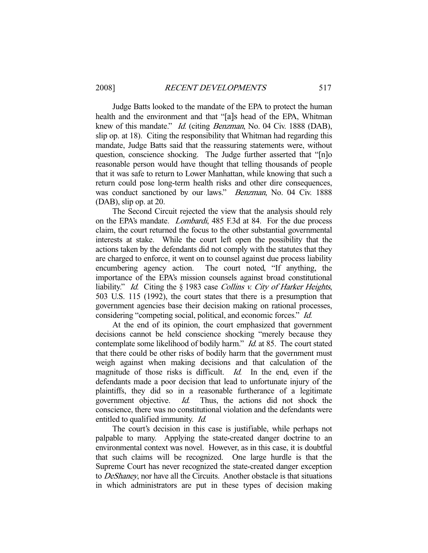Judge Batts looked to the mandate of the EPA to protect the human health and the environment and that "[a]s head of the EPA, Whitman knew of this mandate." *Id.* (citing *Benzman*, No. 04 Civ. 1888 (DAB), slip op. at 18). Citing the responsibility that Whitman had regarding this mandate, Judge Batts said that the reassuring statements were, without question, conscience shocking. The Judge further asserted that "[n]o reasonable person would have thought that telling thousands of people that it was safe to return to Lower Manhattan, while knowing that such a return could pose long-term health risks and other dire consequences, was conduct sanctioned by our laws." *Benzman*, No. 04 Civ. 1888 (DAB), slip op. at 20.

 The Second Circuit rejected the view that the analysis should rely on the EPA's mandate. Lombardi, 485 F.3d at 84. For the due process claim, the court returned the focus to the other substantial governmental interests at stake. While the court left open the possibility that the actions taken by the defendants did not comply with the statutes that they are charged to enforce, it went on to counsel against due process liability encumbering agency action. The court noted, "If anything, the importance of the EPA's mission counsels against broad constitutional liability." *Id.* Citing the § 1983 case *Collins v. City of Harker Heights*, 503 U.S. 115 (1992), the court states that there is a presumption that government agencies base their decision making on rational processes, considering "competing social, political, and economic forces." Id.

 At the end of its opinion, the court emphasized that government decisions cannot be held conscience shocking "merely because they contemplate some likelihood of bodily harm." *Id.* at 85. The court stated that there could be other risks of bodily harm that the government must weigh against when making decisions and that calculation of the magnitude of those risks is difficult. *Id.* In the end, even if the defendants made a poor decision that lead to unfortunate injury of the plaintiffs, they did so in a reasonable furtherance of a legitimate government objective. Id. Thus, the actions did not shock the conscience, there was no constitutional violation and the defendants were entitled to qualified immunity. Id.

 The court's decision in this case is justifiable, while perhaps not palpable to many. Applying the state-created danger doctrine to an environmental context was novel. However, as in this case, it is doubtful that such claims will be recognized. One large hurdle is that the Supreme Court has never recognized the state-created danger exception to DeShaney, nor have all the Circuits. Another obstacle is that situations in which administrators are put in these types of decision making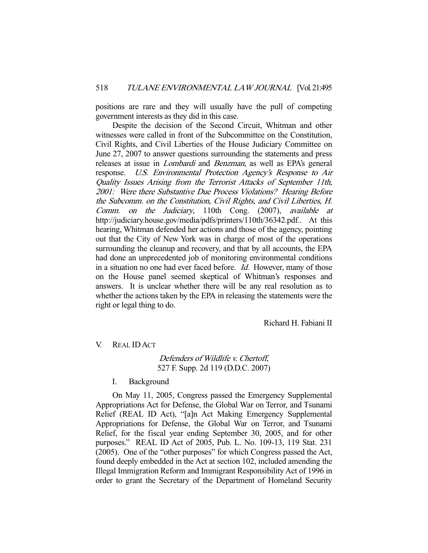positions are rare and they will usually have the pull of competing government interests as they did in this case.

 Despite the decision of the Second Circuit, Whitman and other witnesses were called in front of the Subcommittee on the Constitution, Civil Rights, and Civil Liberties of the House Judiciary Committee on June 27, 2007 to answer questions surrounding the statements and press releases at issue in Lombardi and Benzman, as well as EPA's general response. U.S. Environmental Protection Agency's Response to Air Quality Issues Arising from the Terrorist Attacks of September 11th, 2001: Were there Substantive Due Process Violations? Hearing Before the Subcomm. on the Constitution, Civil Rights, and Civil Liberties, H. Comm. on the Judiciary, 110th Cong. (2007), available at http://judiciary.house.gov/media/pdfs/printers/110th/36342.pdf.. At this hearing, Whitman defended her actions and those of the agency, pointing out that the City of New York was in charge of most of the operations surrounding the cleanup and recovery, and that by all accounts, the EPA had done an unprecedented job of monitoring environmental conditions in a situation no one had ever faced before. Id. However, many of those on the House panel seemed skeptical of Whitman's responses and answers. It is unclear whether there will be any real resolution as to whether the actions taken by the EPA in releasing the statements were the right or legal thing to do.

Richard H. Fabiani II

V. REAL IDACT

# Defenders of Wildlife v. Chertoff, 527 F. Supp. 2d 119 (D.D.C. 2007)

I. Background

 On May 11, 2005, Congress passed the Emergency Supplemental Appropriations Act for Defense, the Global War on Terror, and Tsunami Relief (REAL ID Act), "[a]n Act Making Emergency Supplemental Appropriations for Defense, the Global War on Terror, and Tsunami Relief, for the fiscal year ending September 30, 2005, and for other purposes." REAL ID Act of 2005, Pub. L. No. 109-13, 119 Stat. 231 (2005). One of the "other purposes" for which Congress passed the Act, found deeply embedded in the Act at section 102, included amending the Illegal Immigration Reform and Immigrant Responsibility Act of 1996 in order to grant the Secretary of the Department of Homeland Security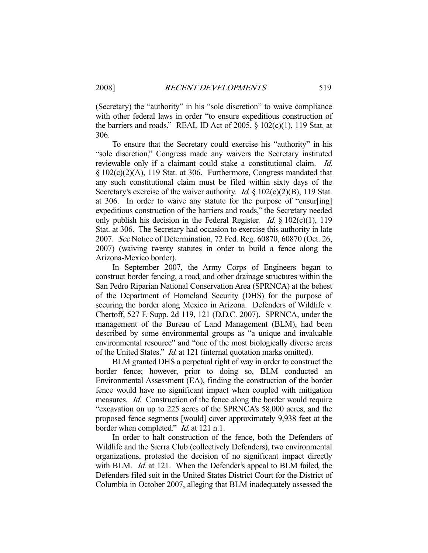(Secretary) the "authority" in his "sole discretion" to waive compliance with other federal laws in order "to ensure expeditious construction of the barriers and roads." REAL ID Act of 2005,  $\S$  102(c)(1), 119 Stat. at 306.

 To ensure that the Secretary could exercise his "authority" in his "sole discretion," Congress made any waivers the Secretary instituted reviewable only if a claimant could stake a constitutional claim. *Id.* § 102(c)(2)(A), 119 Stat. at 306. Furthermore, Congress mandated that any such constitutional claim must be filed within sixty days of the Secretary's exercise of the waiver authority. *Id.*  $\S$  102(c)(2)(B), 119 Stat. at 306. In order to waive any statute for the purpose of "ensur[ing] expeditious construction of the barriers and roads," the Secretary needed only publish his decision in the Federal Register. *Id.*  $\frac{1}{2}$  102(c)(1), 119 Stat. at 306. The Secretary had occasion to exercise this authority in late 2007. See Notice of Determination, 72 Fed. Reg. 60870, 60870 (Oct. 26, 2007) (waiving twenty statutes in order to build a fence along the Arizona-Mexico border).

 In September 2007, the Army Corps of Engineers began to construct border fencing, a road, and other drainage structures within the San Pedro Riparian National Conservation Area (SPRNCA) at the behest of the Department of Homeland Security (DHS) for the purpose of securing the border along Mexico in Arizona. Defenders of Wildlife v. Chertoff, 527 F. Supp. 2d 119, 121 (D.D.C. 2007). SPRNCA, under the management of the Bureau of Land Management (BLM), had been described by some environmental groups as "a unique and invaluable environmental resource" and "one of the most biologically diverse areas of the United States." Id. at 121 (internal quotation marks omitted).

 BLM granted DHS a perpetual right of way in order to construct the border fence; however, prior to doing so, BLM conducted an Environmental Assessment (EA), finding the construction of the border fence would have no significant impact when coupled with mitigation measures. Id. Construction of the fence along the border would require "excavation on up to 225 acres of the SPRNCA's 58,000 acres, and the proposed fence segments [would] cover approximately 9,938 feet at the border when completed." *Id.* at 121 n.1.

 In order to halt construction of the fence, both the Defenders of Wildlife and the Sierra Club (collectively Defenders), two environmental organizations, protested the decision of no significant impact directly with BLM. *Id.* at 121. When the Defender's appeal to BLM failed, the Defenders filed suit in the United States District Court for the District of Columbia in October 2007, alleging that BLM inadequately assessed the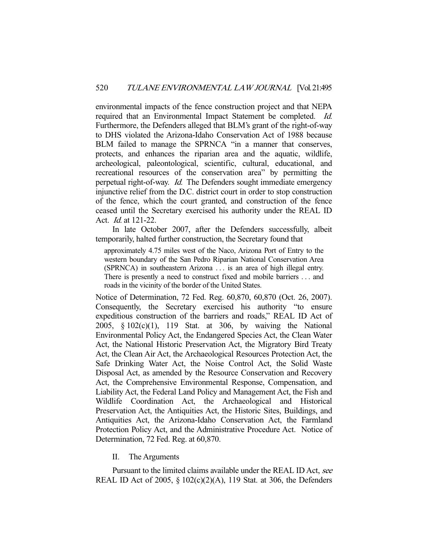environmental impacts of the fence construction project and that NEPA required that an Environmental Impact Statement be completed. Id. Furthermore, the Defenders alleged that BLM's grant of the right-of-way to DHS violated the Arizona-Idaho Conservation Act of 1988 because BLM failed to manage the SPRNCA "in a manner that conserves, protects, and enhances the riparian area and the aquatic, wildlife, archeological, paleontological, scientific, cultural, educational, and recreational resources of the conservation area" by permitting the perpetual right-of-way. Id. The Defenders sought immediate emergency injunctive relief from the D.C. district court in order to stop construction of the fence, which the court granted, and construction of the fence ceased until the Secretary exercised his authority under the REAL ID Act. Id. at 121-22.

 In late October 2007, after the Defenders successfully, albeit temporarily, halted further construction, the Secretary found that

approximately 4.75 miles west of the Naco, Arizona Port of Entry to the western boundary of the San Pedro Riparian National Conservation Area (SPRNCA) in southeastern Arizona . . . is an area of high illegal entry. There is presently a need to construct fixed and mobile barriers . . . and roads in the vicinity of the border of the United States.

Notice of Determination, 72 Fed. Reg. 60,870, 60,870 (Oct. 26, 2007). Consequently, the Secretary exercised his authority "to ensure expeditious construction of the barriers and roads," REAL ID Act of 2005, § 102(c)(1), 119 Stat. at 306, by waiving the National Environmental Policy Act, the Endangered Species Act, the Clean Water Act, the National Historic Preservation Act, the Migratory Bird Treaty Act, the Clean Air Act, the Archaeological Resources Protection Act, the Safe Drinking Water Act, the Noise Control Act, the Solid Waste Disposal Act, as amended by the Resource Conservation and Recovery Act, the Comprehensive Environmental Response, Compensation, and Liability Act, the Federal Land Policy and Management Act, the Fish and Wildlife Coordination Act, the Archaeological and Historical Preservation Act, the Antiquities Act, the Historic Sites, Buildings, and Antiquities Act, the Arizona-Idaho Conservation Act, the Farmland Protection Policy Act, and the Administrative Procedure Act. Notice of Determination, 72 Fed. Reg. at 60,870.

## II. The Arguments

Pursuant to the limited claims available under the REAL ID Act, see REAL ID Act of 2005, § 102(c)(2)(A), 119 Stat. at 306, the Defenders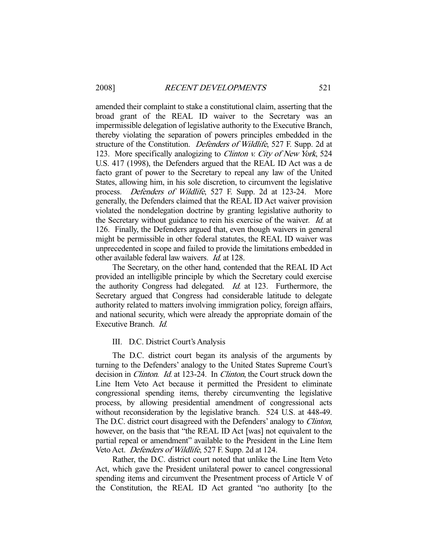amended their complaint to stake a constitutional claim, asserting that the broad grant of the REAL ID waiver to the Secretary was an impermissible delegation of legislative authority to the Executive Branch, thereby violating the separation of powers principles embedded in the structure of the Constitution. Defenders of Wildlife, 527 F. Supp. 2d at 123. More specifically analogizing to *Clinton v. City of New York*, 524 U.S. 417 (1998), the Defenders argued that the REAL ID Act was a de facto grant of power to the Secretary to repeal any law of the United States, allowing him, in his sole discretion, to circumvent the legislative process. Defenders of Wildlife, 527 F. Supp. 2d at 123-24. More generally, the Defenders claimed that the REAL ID Act waiver provision violated the nondelegation doctrine by granting legislative authority to the Secretary without guidance to rein his exercise of the waiver. Id. at 126. Finally, the Defenders argued that, even though waivers in general might be permissible in other federal statutes, the REAL ID waiver was unprecedented in scope and failed to provide the limitations embedded in other available federal law waivers. Id. at 128.

 The Secretary, on the other hand, contended that the REAL ID Act provided an intelligible principle by which the Secretary could exercise the authority Congress had delegated. Id. at 123. Furthermore, the Secretary argued that Congress had considerable latitude to delegate authority related to matters involving immigration policy, foreign affairs, and national security, which were already the appropriate domain of the Executive Branch. Id.

## III. D.C. District Court's Analysis

 The D.C. district court began its analysis of the arguments by turning to the Defenders' analogy to the United States Supreme Court's decision in *Clinton. Id.* at 123-24. In *Clinton*, the Court struck down the Line Item Veto Act because it permitted the President to eliminate congressional spending items, thereby circumventing the legislative process, by allowing presidential amendment of congressional acts without reconsideration by the legislative branch. 524 U.S. at 448-49. The D.C. district court disagreed with the Defenders' analogy to Clinton, however, on the basis that "the REAL ID Act [was] not equivalent to the partial repeal or amendment" available to the President in the Line Item Veto Act. Defenders of Wildlife, 527 F. Supp. 2d at 124.

 Rather, the D.C. district court noted that unlike the Line Item Veto Act, which gave the President unilateral power to cancel congressional spending items and circumvent the Presentment process of Article V of the Constitution, the REAL ID Act granted "no authority [to the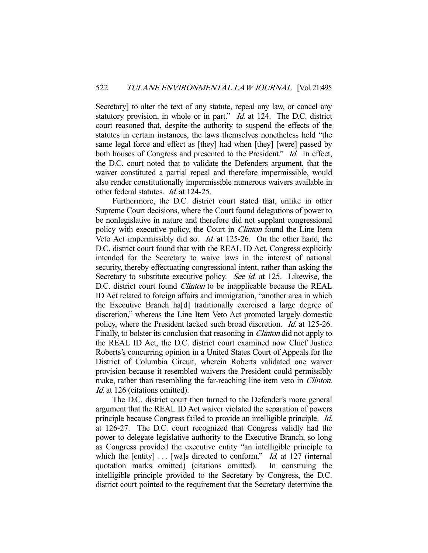Secretary] to alter the text of any statute, repeal any law, or cancel any statutory provision, in whole or in part." *Id.* at 124. The D.C. district court reasoned that, despite the authority to suspend the effects of the statutes in certain instances, the laws themselves nonetheless held "the same legal force and effect as [they] had when [they] [were] passed by both houses of Congress and presented to the President." Id. In effect, the D.C. court noted that to validate the Defenders argument, that the waiver constituted a partial repeal and therefore impermissible, would also render constitutionally impermissible numerous waivers available in other federal statutes. Id. at 124-25.

 Furthermore, the D.C. district court stated that, unlike in other Supreme Court decisions, where the Court found delegations of power to be nonlegislative in nature and therefore did not supplant congressional policy with executive policy, the Court in Clinton found the Line Item Veto Act impermissibly did so. Id. at 125-26. On the other hand, the D.C. district court found that with the REAL ID Act, Congress explicitly intended for the Secretary to waive laws in the interest of national security, thereby effectuating congressional intent, rather than asking the Secretary to substitute executive policy. See id. at 125. Likewise, the D.C. district court found *Clinton* to be inapplicable because the REAL ID Act related to foreign affairs and immigration, "another area in which the Executive Branch ha[d] traditionally exercised a large degree of discretion," whereas the Line Item Veto Act promoted largely domestic policy, where the President lacked such broad discretion. Id. at 125-26. Finally, to bolster its conclusion that reasoning in *Clinton* did not apply to the REAL ID Act, the D.C. district court examined now Chief Justice Roberts's concurring opinion in a United States Court of Appeals for the District of Columbia Circuit, wherein Roberts validated one waiver provision because it resembled waivers the President could permissibly make, rather than resembling the far-reaching line item veto in *Clinton*. Id. at 126 (citations omitted).

 The D.C. district court then turned to the Defender's more general argument that the REAL ID Act waiver violated the separation of powers principle because Congress failed to provide an intelligible principle. Id. at 126-27. The D.C. court recognized that Congress validly had the power to delegate legislative authority to the Executive Branch, so long as Congress provided the executive entity "an intelligible principle to which the [entity]  $\dots$  [wa]s directed to conform." *Id.* at 127 (internal quotation marks omitted) (citations omitted). In construing the intelligible principle provided to the Secretary by Congress, the D.C. district court pointed to the requirement that the Secretary determine the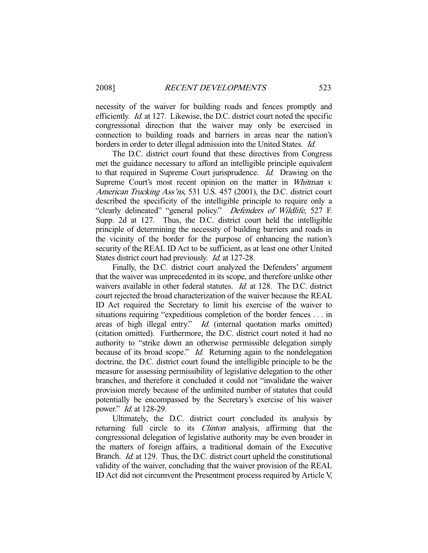necessity of the waiver for building roads and fences promptly and efficiently. Id. at 127. Likewise, the D.C. district court noted the specific congressional direction that the waiver may only be exercised in connection to building roads and barriers in areas near the nation's borders in order to deter illegal admission into the United States. Id.

 The D.C. district court found that these directives from Congress met the guidance necessary to afford an intelligible principle equivalent to that required in Supreme Court jurisprudence. Id. Drawing on the Supreme Court's most recent opinion on the matter in Whitman v. American Trucking Ass'ns, 531 U.S. 457 (2001), the D.C. district court described the specificity of the intelligible principle to require only a "clearly delineated" "general policy." Defenders of Wildlife, 527 F. Supp. 2d at 127. Thus, the D.C. district court held the intelligible principle of determining the necessity of building barriers and roads in the vicinity of the border for the purpose of enhancing the nation's security of the REAL ID Act to be sufficient, as at least one other United States district court had previously. *Id.* at 127-28.

 Finally, the D.C. district court analyzed the Defenders' argument that the waiver was unprecedented in its scope, and therefore unlike other waivers available in other federal statutes. *Id.* at 128. The D.C. district court rejected the broad characterization of the waiver because the REAL ID Act required the Secretary to limit his exercise of the waiver to situations requiring "expeditious completion of the border fences . . . in areas of high illegal entry." *Id.* (internal quotation marks omitted) (citation omitted). Furthermore, the D.C. district court noted it had no authority to "strike down an otherwise permissible delegation simply because of its broad scope." *Id.* Returning again to the nondelegation doctrine, the D.C. district court found the intelligible principle to be the measure for assessing permissibility of legislative delegation to the other branches, and therefore it concluded it could not "invalidate the waiver provision merely because of the unlimited number of statutes that could potentially be encompassed by the Secretary's exercise of his waiver power." Id. at 128-29.

 Ultimately, the D.C. district court concluded its analysis by returning full circle to its *Clinton* analysis, affirming that the congressional delegation of legislative authority may be even broader in the matters of foreign affairs, a traditional domain of the Executive Branch. *Id.* at 129. Thus, the D.C. district court upheld the constitutional validity of the waiver, concluding that the waiver provision of the REAL ID Act did not circumvent the Presentment process required by Article V,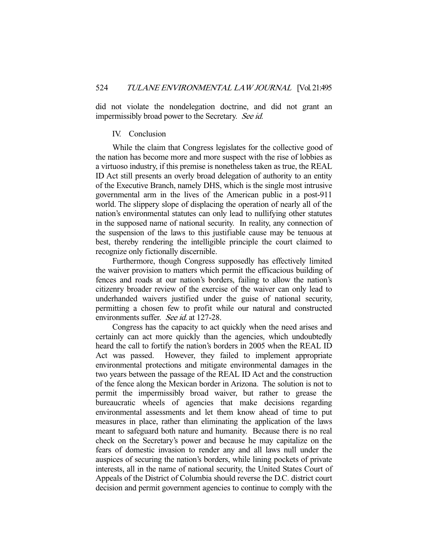did not violate the nondelegation doctrine, and did not grant an impermissibly broad power to the Secretary. See id.

#### IV. Conclusion

 While the claim that Congress legislates for the collective good of the nation has become more and more suspect with the rise of lobbies as a virtuoso industry, if this premise is nonetheless taken as true, the REAL ID Act still presents an overly broad delegation of authority to an entity of the Executive Branch, namely DHS, which is the single most intrusive governmental arm in the lives of the American public in a post-911 world. The slippery slope of displacing the operation of nearly all of the nation's environmental statutes can only lead to nullifying other statutes in the supposed name of national security. In reality, any connection of the suspension of the laws to this justifiable cause may be tenuous at best, thereby rendering the intelligible principle the court claimed to recognize only fictionally discernible.

 Furthermore, though Congress supposedly has effectively limited the waiver provision to matters which permit the efficacious building of fences and roads at our nation's borders, failing to allow the nation's citizenry broader review of the exercise of the waiver can only lead to underhanded waivers justified under the guise of national security, permitting a chosen few to profit while our natural and constructed environments suffer. See id. at 127-28.

 Congress has the capacity to act quickly when the need arises and certainly can act more quickly than the agencies, which undoubtedly heard the call to fortify the nation's borders in 2005 when the REAL ID Act was passed. However, they failed to implement appropriate environmental protections and mitigate environmental damages in the two years between the passage of the REAL ID Act and the construction of the fence along the Mexican border in Arizona. The solution is not to permit the impermissibly broad waiver, but rather to grease the bureaucratic wheels of agencies that make decisions regarding environmental assessments and let them know ahead of time to put measures in place, rather than eliminating the application of the laws meant to safeguard both nature and humanity. Because there is no real check on the Secretary's power and because he may capitalize on the fears of domestic invasion to render any and all laws null under the auspices of securing the nation's borders, while lining pockets of private interests, all in the name of national security, the United States Court of Appeals of the District of Columbia should reverse the D.C. district court decision and permit government agencies to continue to comply with the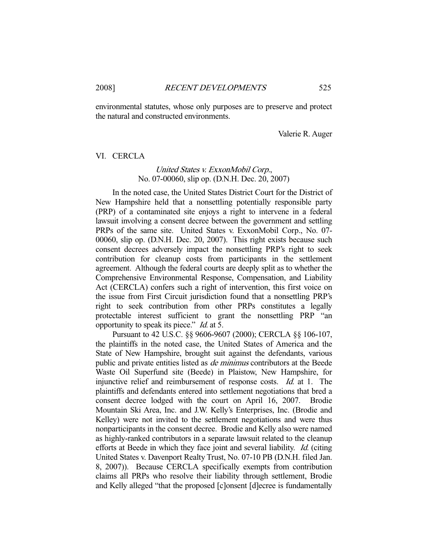environmental statutes, whose only purposes are to preserve and protect the natural and constructed environments.

Valerie R. Auger

#### VI. CERCLA

## United States v. ExxonMobil Corp., No. 07-00060, slip op. (D.N.H. Dec. 20, 2007)

 In the noted case, the United States District Court for the District of New Hampshire held that a nonsettling potentially responsible party (PRP) of a contaminated site enjoys a right to intervene in a federal lawsuit involving a consent decree between the government and settling PRPs of the same site. United States v. ExxonMobil Corp., No. 07- 00060, slip op. (D.N.H. Dec. 20, 2007). This right exists because such consent decrees adversely impact the nonsettling PRP's right to seek contribution for cleanup costs from participants in the settlement agreement. Although the federal courts are deeply split as to whether the Comprehensive Environmental Response, Compensation, and Liability Act (CERCLA) confers such a right of intervention, this first voice on the issue from First Circuit jurisdiction found that a nonsettling PRP's right to seek contribution from other PRPs constitutes a legally protectable interest sufficient to grant the nonsettling PRP "an opportunity to speak its piece." Id. at 5.

 Pursuant to 42 U.S.C. §§ 9606-9607 (2000); CERCLA §§ 106-107, the plaintiffs in the noted case, the United States of America and the State of New Hampshire, brought suit against the defendants, various public and private entities listed as de minimus contributors at the Beede Waste Oil Superfund site (Beede) in Plaistow, New Hampshire, for injunctive relief and reimbursement of response costs. *Id.* at 1. The plaintiffs and defendants entered into settlement negotiations that bred a consent decree lodged with the court on April 16, 2007. Brodie Mountain Ski Area, Inc. and J.W. Kelly's Enterprises, Inc. (Brodie and Kelley) were not invited to the settlement negotiations and were thus nonparticipants in the consent decree. Brodie and Kelly also were named as highly-ranked contributors in a separate lawsuit related to the cleanup efforts at Beede in which they face joint and several liability. *Id.* (citing United States v. Davenport Realty Trust, No. 07-10 PB (D.N.H. filed Jan. 8, 2007)). Because CERCLA specifically exempts from contribution claims all PRPs who resolve their liability through settlement, Brodie and Kelly alleged "that the proposed [c]onsent [d]ecree is fundamentally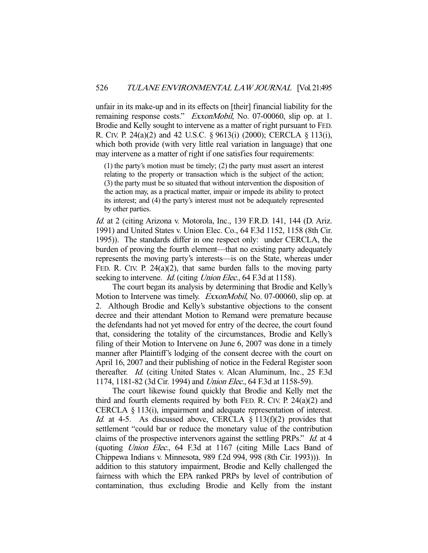unfair in its make-up and in its effects on [their] financial liability for the remaining response costs." *ExxonMobil*, No. 07-00060, slip op. at 1. Brodie and Kelly sought to intervene as a matter of right pursuant to FED. R. CIV. P. 24(a)(2) and 42 U.S.C. § 9613(i) (2000); CERCLA § 113(i), which both provide (with very little real variation in language) that one may intervene as a matter of right if one satisfies four requirements:

(1) the party's motion must be timely; (2) the party must assert an interest relating to the property or transaction which is the subject of the action; (3) the party must be so situated that without intervention the disposition of the action may, as a practical matter, impair or impede its ability to protect its interest; and (4) the party's interest must not be adequately represented by other parties.

Id. at 2 (citing Arizona v. Motorola, Inc., 139 F.R.D. 141, 144 (D. Ariz. 1991) and United States v. Union Elec. Co., 64 F.3d 1152, 1158 (8th Cir. 1995)). The standards differ in one respect only: under CERCLA, the burden of proving the fourth element—that no existing party adequately represents the moving party's interests—is on the State, whereas under FED. R. CIV. P. 24(a)(2), that same burden falls to the moving party seeking to intervene. *Id.* (citing *Union Elec.*, 64 F.3d at 1158).

 The court began its analysis by determining that Brodie and Kelly's Motion to Intervene was timely. *ExxonMobil*, No. 07-00060, slip op. at 2. Although Brodie and Kelly's substantive objections to the consent decree and their attendant Motion to Remand were premature because the defendants had not yet moved for entry of the decree, the court found that, considering the totality of the circumstances, Brodie and Kelly's filing of their Motion to Intervene on June 6, 2007 was done in a timely manner after Plaintiff's lodging of the consent decree with the court on April 16, 2007 and their publishing of notice in the Federal Register soon thereafter. Id. (citing United States v. Alcan Aluminum, Inc., 25 F.3d 1174, 1181-82 (3d Cir. 1994) and Union Elec., 64 F.3d at 1158-59).

 The court likewise found quickly that Brodie and Kelly met the third and fourth elements required by both FED. R. CIV. P.  $24(a)(2)$  and CERCLA § 113(i), impairment and adequate representation of interest. *Id.* at 4-5. As discussed above, CERCLA  $\S$  113(f)(2) provides that settlement "could bar or reduce the monetary value of the contribution claims of the prospective intervenors against the settling PRPs." Id. at 4 (quoting Union Elec., 64 F.3d at 1167 (citing Mille Lacs Band of Chippewa Indians v. Minnesota, 989 f.2d 994, 998 (8th Cir. 1993))). In addition to this statutory impairment, Brodie and Kelly challenged the fairness with which the EPA ranked PRPs by level of contribution of contamination, thus excluding Brodie and Kelly from the instant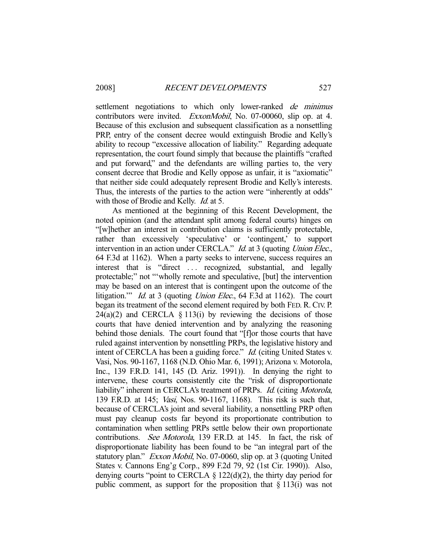settlement negotiations to which only lower-ranked *de minimus* contributors were invited. ExxonMobil, No. 07-00060, slip op. at 4. Because of this exclusion and subsequent classification as a nonsettling PRP, entry of the consent decree would extinguish Brodie and Kelly's ability to recoup "excessive allocation of liability." Regarding adequate representation, the court found simply that because the plaintiffs "crafted and put forward," and the defendants are willing parties to, the very consent decree that Brodie and Kelly oppose as unfair, it is "axiomatic" that neither side could adequately represent Brodie and Kelly's interests. Thus, the interests of the parties to the action were "inherently at odds" with those of Brodie and Kelly. *Id.* at 5.

 As mentioned at the beginning of this Recent Development, the noted opinion (and the attendant split among federal courts) hinges on "[w]hether an interest in contribution claims is sufficiently protectable, rather than excessively 'speculative' or 'contingent,' to support intervention in an action under CERCLA." *Id.* at 3 (quoting *Union Elec.*, 64 F.3d at 1162). When a party seeks to intervene, success requires an interest that is "direct ... recognized, substantial, and legally protectable;" not "'wholly remote and speculative, [but] the intervention may be based on an interest that is contingent upon the outcome of the litigation." *Id.* at 3 (quoting *Union Elec.*, 64 F.3d at 1162). The court began its treatment of the second element required by both FED. R. CIV. P.  $24(a)(2)$  and CERCLA § 113(i) by reviewing the decisions of those courts that have denied intervention and by analyzing the reasoning behind those denials. The court found that "[f]or those courts that have ruled against intervention by nonsettling PRPs, the legislative history and intent of CERCLA has been a guiding force." *Id.* (citing United States v. Vasi, Nos. 90-1167, 1168 (N.D. Ohio Mar. 6, 1991); Arizona v. Motorola, Inc., 139 F.R.D. 141, 145 (D. Ariz. 1991)). In denying the right to intervene, these courts consistently cite the "risk of disproportionate liability" inherent in CERCLA's treatment of PRPs. Id. (citing Motorola, 139 F.R.D. at 145; Vasi, Nos. 90-1167, 1168). This risk is such that, because of CERCLA's joint and several liability, a nonsettling PRP often must pay cleanup costs far beyond its proportionate contribution to contamination when settling PRPs settle below their own proportionate contributions. See Motorola, 139 F.R.D. at 145. In fact, the risk of disproportionate liability has been found to be "an integral part of the statutory plan." *Exxon Mobil*, No. 07-0060, slip op. at 3 (quoting United States v. Cannons Eng'g Corp., 899 F.2d 79, 92 (1st Cir. 1990)). Also, denying courts "point to CERCLA  $\S$  122(d)(2), the thirty day period for public comment, as support for the proposition that  $\S 113(i)$  was not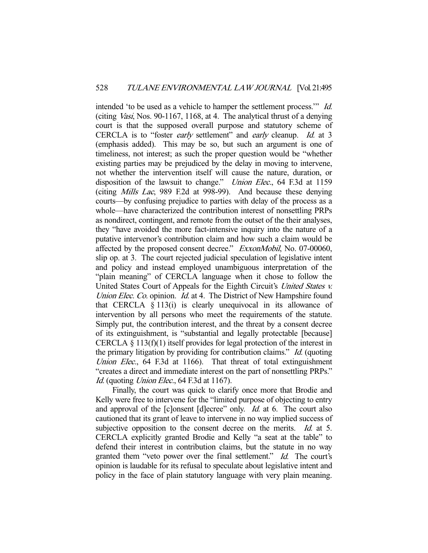intended 'to be used as a vehicle to hamper the settlement process.'" Id. (citing Vasi, Nos. 90-1167, 1168, at 4. The analytical thrust of a denying court is that the supposed overall purpose and statutory scheme of CERCLA is to "foster *early* settlement" and *early* cleanup. *Id.* at 3 (emphasis added). This may be so, but such an argument is one of timeliness, not interest; as such the proper question would be "whether existing parties may be prejudiced by the delay in moving to intervene, not whether the intervention itself will cause the nature, duration, or disposition of the lawsuit to change." *Union Elec.*, 64 F.3d at 1159 (citing Mills Lac, 989 F.2d at 998-99). And because these denying courts—by confusing prejudice to parties with delay of the process as a whole—have characterized the contribution interest of nonsettling PRPs as nondirect, contingent, and remote from the outset of the their analyses, they "have avoided the more fact-intensive inquiry into the nature of a putative intervenor's contribution claim and how such a claim would be affected by the proposed consent decree." ExxonMobil, No. 07-00060, slip op. at 3. The court rejected judicial speculation of legislative intent and policy and instead employed unambiguous interpretation of the "plain meaning" of CERCLA language when it chose to follow the United States Court of Appeals for the Eighth Circuit's United States v. Union Elec. Co. opinion. Id. at 4. The District of New Hampshire found that CERCLA  $\S$  113(i) is clearly unequivocal in its allowance of intervention by all persons who meet the requirements of the statute. Simply put, the contribution interest, and the threat by a consent decree of its extinguishment, is "substantial and legally protectable [because] CERCLA  $\S 113(f)(1)$  itself provides for legal protection of the interest in the primary litigation by providing for contribution claims." Id. (quoting Union Elec., 64 F.3d at 1166). That threat of total extinguishment "creates a direct and immediate interest on the part of nonsettling PRPs." Id. (quoting *Union Elec.*, 64 F.3d at 1167).

 Finally, the court was quick to clarify once more that Brodie and Kelly were free to intervene for the "limited purpose of objecting to entry and approval of the [c]onsent [d]ecree" only. *Id.* at 6. The court also cautioned that its grant of leave to intervene in no way implied success of subjective opposition to the consent decree on the merits. *Id.* at 5. CERCLA explicitly granted Brodie and Kelly "a seat at the table" to defend their interest in contribution claims, but the statute in no way granted them "veto power over the final settlement." *Id.* The court's opinion is laudable for its refusal to speculate about legislative intent and policy in the face of plain statutory language with very plain meaning.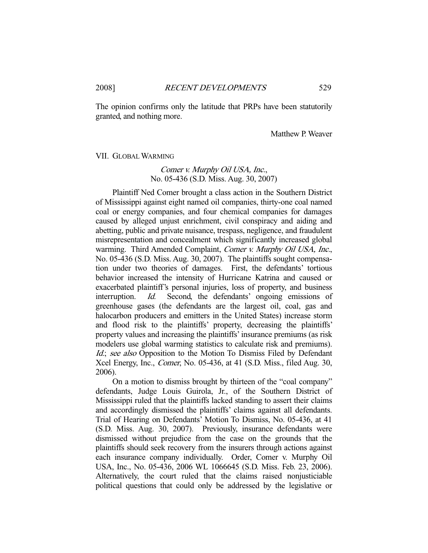The opinion confirms only the latitude that PRPs have been statutorily granted, and nothing more.

Matthew P. Weaver

#### VII. GLOBAL WARMING

## Comer v. Murphy Oil USA, Inc., No. 05-436 (S.D. Miss. Aug. 30, 2007)

 Plaintiff Ned Comer brought a class action in the Southern District of Mississippi against eight named oil companies, thirty-one coal named coal or energy companies, and four chemical companies for damages caused by alleged unjust enrichment, civil conspiracy and aiding and abetting, public and private nuisance, trespass, negligence, and fraudulent misrepresentation and concealment which significantly increased global warming. Third Amended Complaint, Comer v. Murphy Oil USA, Inc., No. 05-436 (S.D. Miss. Aug. 30, 2007). The plaintiffs sought compensation under two theories of damages. First, the defendants' tortious behavior increased the intensity of Hurricane Katrina and caused or exacerbated plaintiff's personal injuries, loss of property, and business interruption. Id. Second, the defendants' ongoing emissions of greenhouse gases (the defendants are the largest oil, coal, gas and halocarbon producers and emitters in the United States) increase storm and flood risk to the plaintiffs' property, decreasing the plaintiffs' property values and increasing the plaintiffs' insurance premiums (as risk modelers use global warming statistics to calculate risk and premiums). Id.; see also Opposition to the Motion To Dismiss Filed by Defendant Xcel Energy, Inc., Comer, No. 05-436, at 41 (S.D. Miss., filed Aug. 30, 2006).

 On a motion to dismiss brought by thirteen of the "coal company" defendants, Judge Louis Guirola, Jr., of the Southern District of Mississippi ruled that the plaintiffs lacked standing to assert their claims and accordingly dismissed the plaintiffs' claims against all defendants. Trial of Hearing on Defendants' Motion To Dismiss, No. 05-436, at 41 (S.D. Miss. Aug. 30, 2007). Previously, insurance defendants were dismissed without prejudice from the case on the grounds that the plaintiffs should seek recovery from the insurers through actions against each insurance company individually. Order, Comer v. Murphy Oil USA, Inc., No. 05-436, 2006 WL 1066645 (S.D. Miss. Feb. 23, 2006). Alternatively, the court ruled that the claims raised nonjusticiable political questions that could only be addressed by the legislative or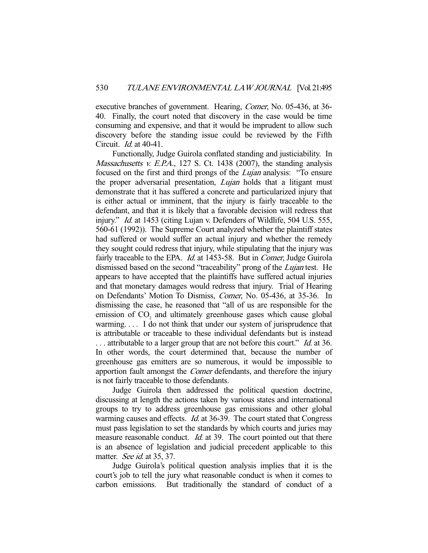executive branches of government. Hearing, Comer, No. 05-436, at 36- 40. Finally, the court noted that discovery in the case would be time consuming and expensive, and that it would be imprudent to allow such discovery before the standing issue could be reviewed by the Fifth Circuit. Id. at 40-41.

 Functionally, Judge Guirola conflated standing and justiciability. In Massachusetts v. E.P.A., 127 S. Ct. 1438 (2007), the standing analysis focused on the first and third prongs of the Lujan analysis: "To ensure the proper adversarial presentation, *Lujan* holds that a litigant must demonstrate that it has suffered a concrete and particularized injury that is either actual or imminent, that the injury is fairly traceable to the defendant, and that it is likely that a favorable decision will redress that injury." *Id.* at 1453 (citing Lujan v. Defenders of Wildlife, 504 U.S. 555, 560-61 (1992)). The Supreme Court analyzed whether the plaintiff states had suffered or would suffer an actual injury and whether the remedy they sought could redress that injury, while stipulating that the injury was fairly traceable to the EPA. *Id.* at 1453-58. But in *Comer*, Judge Guirola dismissed based on the second "traceability" prong of the *Lujan* test. He appears to have accepted that the plaintiffs have suffered actual injuries and that monetary damages would redress that injury. Trial of Hearing on Defendants' Motion To Dismiss, Comer, No. 05-436, at 35-36. In dismissing the case, he reasoned that "all of us are responsible for the emission of  $CO<sub>2</sub>$  and ultimately greenhouse gases which cause global warming. . . . I do not think that under our system of jurisprudence that is attributable or traceable to these individual defendants but is instead ... attributable to a larger group that are not before this court." *Id.* at 36. In other words, the court determined that, because the number of greenhouse gas emitters are so numerous, it would be impossible to apportion fault amongst the *Comer* defendants, and therefore the injury is not fairly traceable to those defendants.

 Judge Guirola then addressed the political question doctrine, discussing at length the actions taken by various states and international groups to try to address greenhouse gas emissions and other global warming causes and effects. *Id.* at 36-39. The court stated that Congress must pass legislation to set the standards by which courts and juries may measure reasonable conduct. *Id.* at 39. The court pointed out that there is an absence of legislation and judicial precedent applicable to this matter. See id. at 35, 37.

 Judge Guirola's political question analysis implies that it is the court's job to tell the jury what reasonable conduct is when it comes to carbon emissions. But traditionally the standard of conduct of a